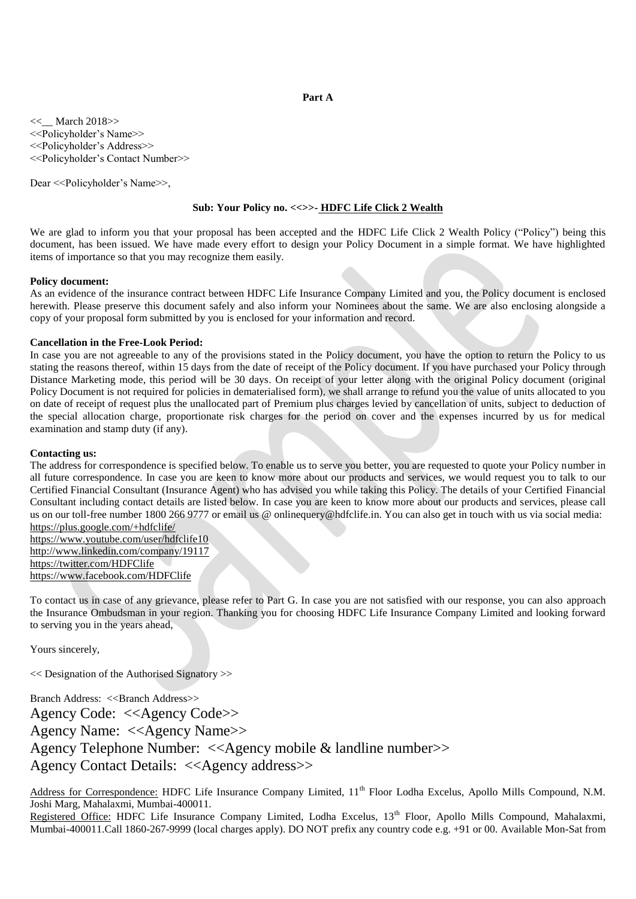# **Part A**

<<\_\_ March 2018>> <<Policyholder's Name>> <<Policyholder's Address>> <<Policyholder's Contact Number>>

Dear << Policyholder's Name >>,

# **Sub: Your Policy no. <<>>- HDFC Life Click 2 Wealth**

We are glad to inform you that your proposal has been accepted and the HDFC Life Click 2 Wealth Policy ("Policy") being this document, has been issued. We have made every effort to design your Policy Document in a simple format. We have highlighted items of importance so that you may recognize them easily.

### **Policy document:**

As an evidence of the insurance contract between HDFC Life Insurance Company Limited and you, the Policy document is enclosed herewith. Please preserve this document safely and also inform your Nominees about the same. We are also enclosing alongside a copy of your proposal form submitted by you is enclosed for your information and record.

### **Cancellation in the Free-Look Period:**

In case you are not agreeable to any of the provisions stated in the Policy document, you have the option to return the Policy to us stating the reasons thereof, within 15 days from the date of receipt of the Policy document. If you have purchased your Policy through Distance Marketing mode, this period will be 30 days. On receipt of your letter along with the original Policy document (original Policy Document is not required for policies in dematerialised form), we shall arrange to refund you the value of units allocated to you on date of receipt of request plus the unallocated part of Premium plus charges levied by cancellation of units, subject to deduction of the special allocation charge, proportionate risk charges for the period on cover and the expenses incurred by us for medical examination and stamp duty (if any).

# **Contacting us:**

The address for correspondence is specified below. To enable us to serve you better, you are requested to quote your Policy number in all future correspondence. In case you are keen to know more about our products and services, we would request you to talk to our Certified Financial Consultant (Insurance Agent) who has advised you while taking this Policy. The details of your Certified Financial Consultant including contact details are listed below. In case you are keen to know more about our products and services, please call us on our toll-free number 1800 266 9777 or email us @ onlinequery@hdfclife.in. You can also get in touch with us via social media: <https://plus.google.com/+hdfclife/>

<https://www.youtube.com/user/hdfclife10> <http://www.linkedin.com/company/19117> <https://twitter.com/HDFClife> <https://www.facebook.com/HDFClife>

To contact us in case of any grievance, please refer to Part G. In case you are not satisfied with our response, you can also approach the Insurance Ombudsman in your region. Thanking you for choosing HDFC Life Insurance Company Limited and looking forward to serving you in the years ahead,

Yours sincerely,

<< Designation of the Authorised Signatory >>

Branch Address: <<Branch Address>>

Agency Code: <<Agency Code>> Agency Name: <<Agency Name>> Agency Telephone Number: <<Agency mobile & landline number>> Agency Contact Details: <<Agency address>>

Address for Correspondence: HDFC Life Insurance Company Limited, 11<sup>th</sup> Floor Lodha Excelus, Apollo Mills Compound, N.M. Joshi Marg, Mahalaxmi, Mumbai-400011.

Registered Office: HDFC Life Insurance Company Limited, Lodha Excelus, 13<sup>th</sup> Floor, Apollo Mills Compound, Mahalaxmi, Mumbai-400011.Call 1860-267-9999 (local charges apply). DO NOT prefix any country code e.g. +91 or 00. Available Mon-Sat from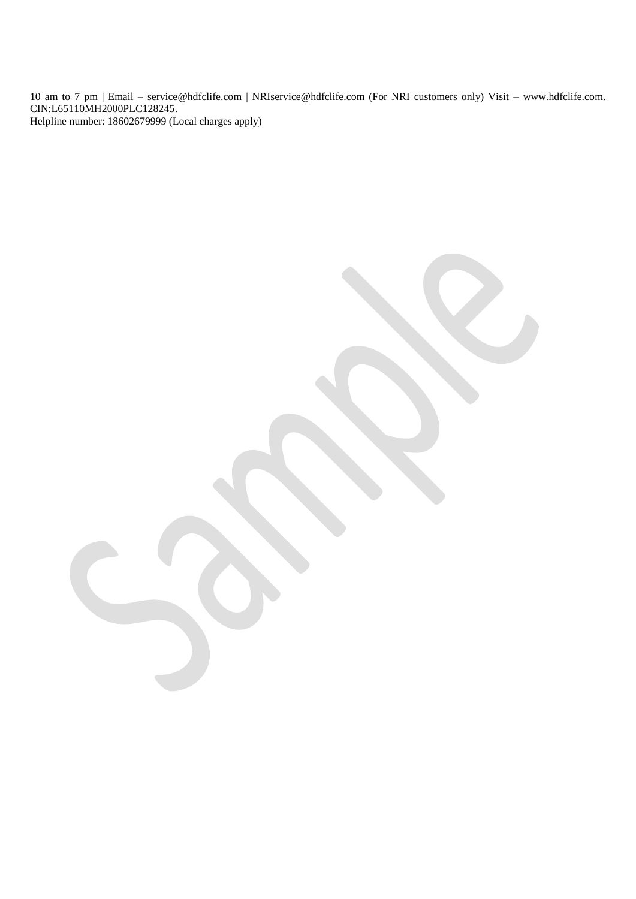10 am to 7 pm | Email – service@hdfclife.com | NRIservice@hdfclife.com (For NRI customers only) Visit – www.hdfclife.com. CIN:L65110MH2000PLC128245. Helpline number: 18602679999 (Local charges apply)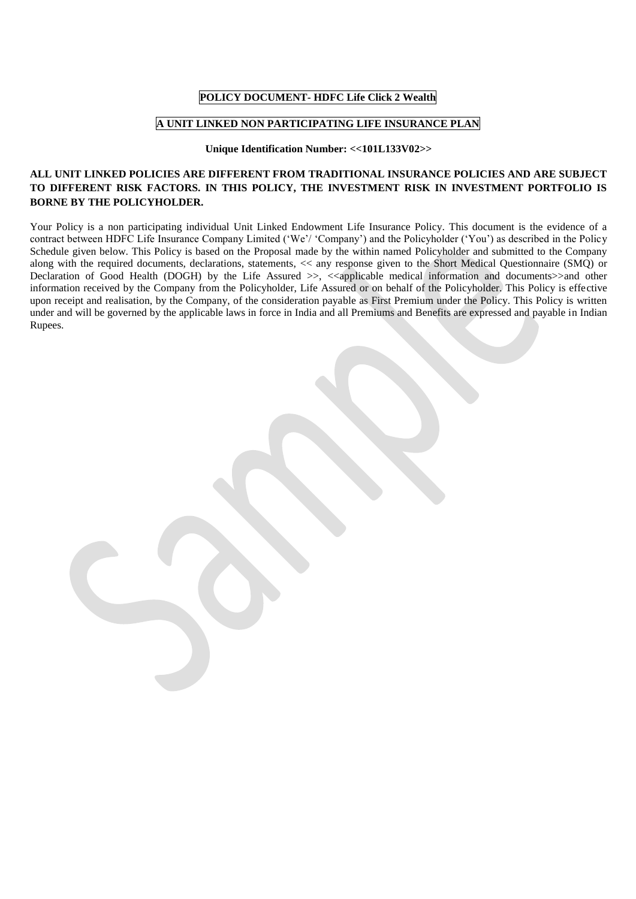# **POLICY DOCUMENT- HDFC Life Click 2 Wealth**

# **A UNIT LINKED NON PARTICIPATING LIFE INSURANCE PLAN**

# **Unique Identification Number: <<101L133V02>>**

# **ALL UNIT LINKED POLICIES ARE DIFFERENT FROM TRADITIONAL INSURANCE POLICIES AND ARE SUBJECT TO DIFFERENT RISK FACTORS. IN THIS POLICY, THE INVESTMENT RISK IN INVESTMENT PORTFOLIO IS BORNE BY THE POLICYHOLDER.**

Your Policy is a non participating individual Unit Linked Endowment Life Insurance Policy. This document is the evidence of a contract between HDFC Life Insurance Company Limited ('We'/ 'Company') and the Policyholder ('You') as described in the Policy Schedule given below. This Policy is based on the Proposal made by the within named Policyholder and submitted to the Company along with the required documents, declarations, statements, << any response given to the Short Medical Questionnaire (SMQ) or Declaration of Good Health (DOGH) by the Life Assured  $\gg$ ,  $\ll$ applicable medical information and documents >> and other information received by the Company from the Policyholder, Life Assured or on behalf of the Policyholder. This Policy is effective upon receipt and realisation, by the Company, of the consideration payable as First Premium under the Policy. This Policy is written under and will be governed by the applicable laws in force in India and all Premiums and Benefits are expressed and payable in Indian Rupees.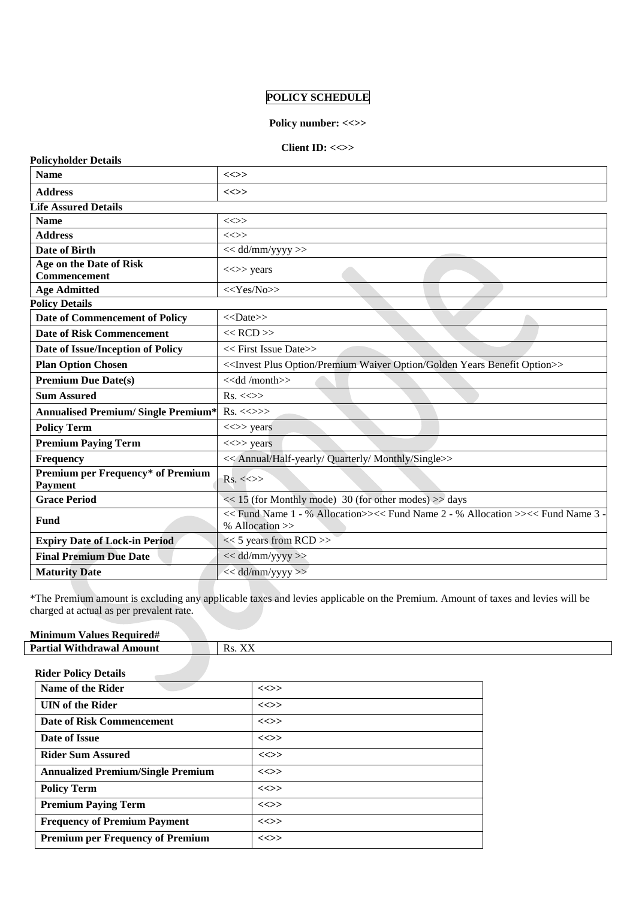# **POLICY SCHEDULE**

# Policy number: <<>>

# **Client ID: <<>>**

| <b>Policyholder Details</b>                         |                                                                                                    |
|-----------------------------------------------------|----------------------------------------------------------------------------------------------------|
| <b>Name</b>                                         | $\iff$                                                                                             |
| <b>Address</b>                                      | $\ll >>$                                                                                           |
| <b>Life Assured Details</b>                         |                                                                                                    |
| <b>Name</b>                                         | $\ll >>$                                                                                           |
| <b>Address</b>                                      | <<>>                                                                                               |
| Date of Birth                                       | << dd/mm/yyyy >>                                                                                   |
| Age on the Date of Risk<br>Commencement             | $\ll >>$ years                                                                                     |
| <b>Age Admitted</b>                                 | $<<$ Yes/No>>                                                                                      |
| <b>Policy Details</b>                               |                                                                                                    |
| Date of Commencement of Policy                      | $<<$ Date>>                                                                                        |
| <b>Date of Risk Commencement</b>                    | $<<$ RCD $>>$                                                                                      |
| Date of Issue/Inception of Policy                   | $<<$ First Issue Date $>>$                                                                         |
| <b>Plan Option Chosen</b>                           | < <invest benefit="" golden="" option="" plus="" premium="" waiver="" years="">&gt;</invest>       |
| <b>Premium Due Date(s)</b>                          | < <dd month="">&gt;</dd>                                                                           |
| <b>Sum Assured</b>                                  | $Rs. \ll\gg$                                                                                       |
| <b>Annualised Premium/ Single Premium*</b>          | $Rs. \ll\gg\gg$                                                                                    |
| <b>Policy Term</b>                                  | $\langle \langle \rangle \rangle$ years                                                            |
| <b>Premium Paying Term</b>                          | $<<$ > years                                                                                       |
| Frequency                                           | << Annual/Half-yearly/ Quarterly/ Monthly/Single>>                                                 |
| Premium per Frequency* of Premium<br><b>Payment</b> | $Rs. \ll\gg$                                                                                       |
| <b>Grace Period</b>                                 | $<< 15$ (for Monthly mode) 30 (for other modes) $>>$ days                                          |
| Fund                                                | << Fund Name 1 - % Allocation>><< Fund Name 2 - % Allocation >><< Fund Name 3 -<br>% Allocation >> |
| <b>Expiry Date of Lock-in Period</b>                | $<< 5$ years from RCD >>                                                                           |
| <b>Final Premium Due Date</b>                       | << dd/mm/yyyy >>                                                                                   |
| <b>Maturity Date</b>                                | $<<$ dd/mm/yyyy>>                                                                                  |

\*The Premium amount is excluding any applicable taxes and levies applicable on the Premium. Amount of taxes and levies will be charged at actual as per prevalent rate.

| $\mathbf{u}$<br>-<br>Minimum<br><b>Required#</b><br>V alues l |                                |
|---------------------------------------------------------------|--------------------------------|
| $D_{\alpha m}$<br>mount<br>Withdrawal<br>. nat                | <b>TTT</b><br>Rs.<br>$\lambda$ |

# **Rider Policy Details**

| Name of the Rider                        | $\iff$ |
|------------------------------------------|--------|
| <b>UIN</b> of the Rider                  | $\iff$ |
| Date of Risk Commencement                | $\iff$ |
| Date of Issue                            | $\iff$ |
| <b>Rider Sum Assured</b>                 | $\iff$ |
| <b>Annualized Premium/Single Premium</b> | $\iff$ |
| <b>Policy Term</b>                       | $\iff$ |
| <b>Premium Paying Term</b>               | $\iff$ |
| <b>Frequency of Premium Payment</b>      | $\iff$ |
| <b>Premium per Frequency of Premium</b>  | $\iff$ |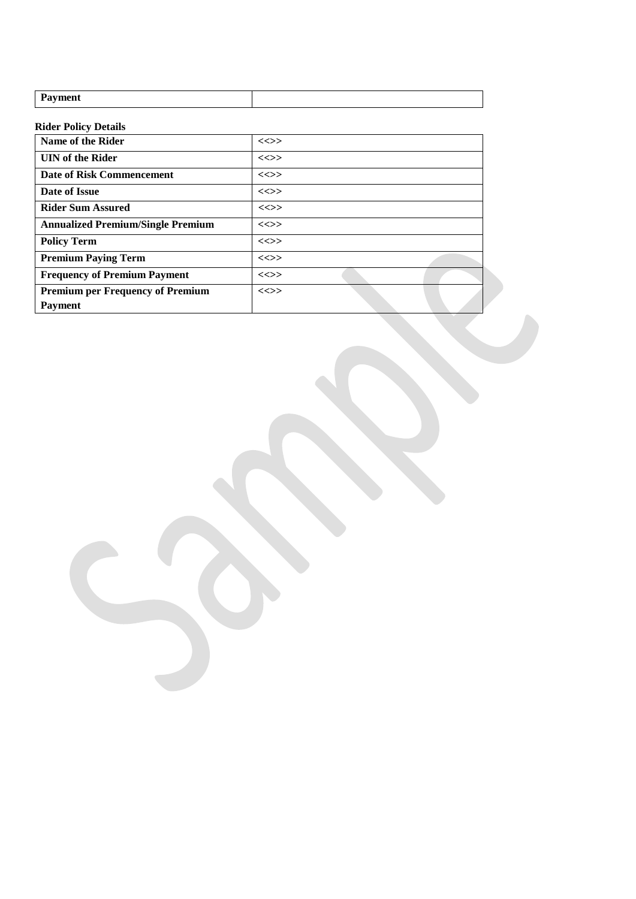| D<br>-------<br>ment<br>- - |  |
|-----------------------------|--|
|                             |  |

# **Rider Policy Details**

| Name of the Rider                        | $\iff$   |
|------------------------------------------|----------|
| <b>UIN</b> of the Rider                  | $\iff$   |
| Date of Risk Commencement                | $\iff$   |
| Date of Issue                            | $\ll >>$ |
| <b>Rider Sum Assured</b>                 | $\iff$   |
| <b>Annualized Premium/Single Premium</b> | $\iff$   |
| <b>Policy Term</b>                       | $\iff$   |
| <b>Premium Paying Term</b>               | $\iff$   |
| <b>Frequency of Premium Payment</b>      | $\iff$   |
| <b>Premium per Frequency of Premium</b>  | $\iff$   |
| <b>Payment</b>                           |          |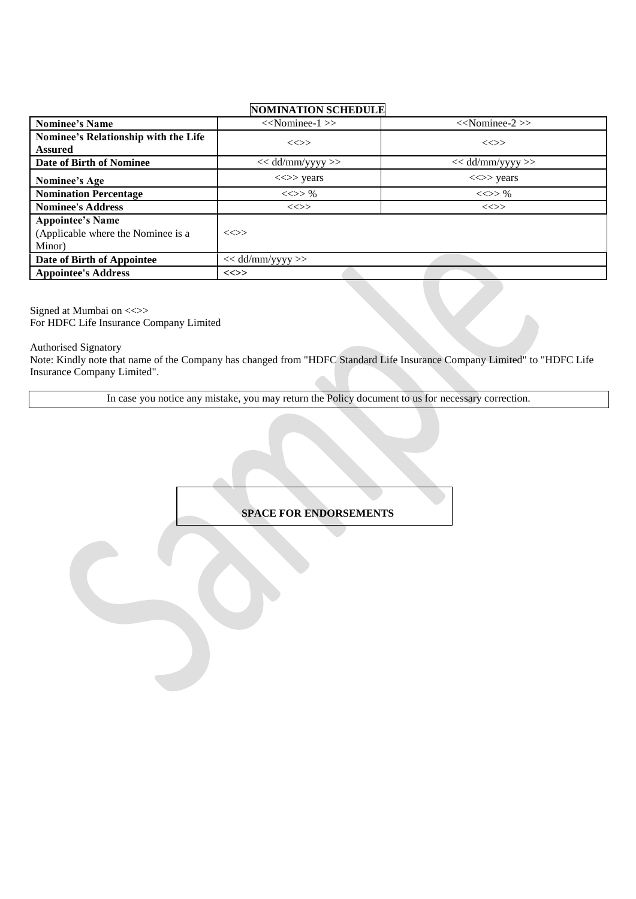# **NOMINATION SCHEDULE**

| <b>Nominee's Name</b>                                                   | $<<$ Nominee-1 $>>$                     | $<<$ Nominee-2 $>>$                     |
|-------------------------------------------------------------------------|-----------------------------------------|-----------------------------------------|
| Nominee's Relationship with the Life<br><b>Assured</b>                  | $\iff$                                  | $\iff$                                  |
| <b>Date of Birth of Nominee</b>                                         | $<<$ dd/mm/yyyy >>                      | $<<$ dd/mm/yyyy >>                      |
| Nominee's Age                                                           | $\langle \langle \rangle \rangle$ years | $\langle \langle \rangle \rangle$ years |
| <b>Nomination Percentage</b>                                            | $\ll >> \%$                             | $\ll >> \%$                             |
| <b>Nominee's Address</b>                                                | $\iff$                                  | $\iff$                                  |
| <b>Appointee's Name</b><br>(Applicable where the Nominee is a<br>Minor) | $\ll >>$                                |                                         |
| Date of Birth of Appointee                                              | $<<$ dd/mm/yyyy >>                      |                                         |
| <b>Appointee's Address</b>                                              | $\ll >>$                                |                                         |

Signed at Mumbai on <<>> For HDFC Life Insurance Company Limited

Authorised Signatory

Note: Kindly note that name of the Company has changed from "HDFC Standard Life Insurance Company Limited" to "HDFC Life Insurance Company Limited".

In case you notice any mistake, you may return the Policy document to us for necessary correction.

# **SPACE FOR ENDORSEMENTS**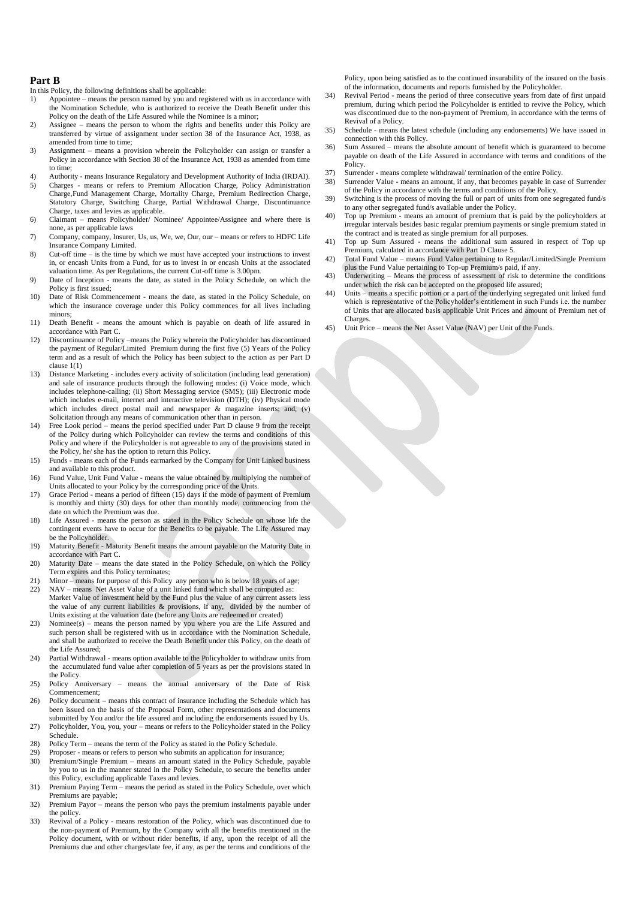#### **Part B**

In this Policy, the following definitions shall be applicable:<br>1) Appointee – means the person named by you and reg

- Appointee means the person named by you and registered with us in accordance with the Nomination Schedule, who is authorized to receive the Death Benefit under this Policy on the death of the Life Assured while the Nominee is a minor;
- 2) Assignee means the person to whom the rights and benefits under this Policy are transferred by virtue of assignment under section 38 of the Insurance Act, 1938, as amended from time to time;
- 3) Assignment means a provision wherein the Policyholder can assign or transfer a Policy in accordance with Section 38 of the Insurance Act, 1938 as amended from time to time;
- 4) Authority means Insurance Regulatory and Development Authority of India (IRDAI).
- 5) Charges means or refers to Premium Allocation Charge, Policy Administration Charge,Fund Management Charge, Mortality Charge, Premium Redirection Charge, Statutory Charge, Switching Charge, Partial Withdrawal Charge, Discontinuance Charge, taxes and levies as applicable.
- 6) Claimant means Policyholder/ Nominee/ Appointee/Assignee and where there is none, as per applicable laws
- 7) Company, company, Insurer, Us, us, We, we, Our, our means or refers to HDFC Life Insurance Company Limited.
- 8) Cut-off time is the time by which we must have accepted your instructions to invest in, or encash Units from a Fund, for us to invest in or encash Units at the associated valuation time. As per Regulations, the current Cut-off time is 3.00pm.
- 9) Date of Inception means the date, as stated in the Policy Schedule, on which the Policy is first issued;
- 10) Date of Risk Commencement means the date, as stated in the Policy Schedule, on which the insurance coverage under this Policy commences for all lives including minors;
- 11) Death Benefit means the amount which is payable on death of life assured in accordance with Part C.
- 12) Discontinuance of Policy –means the Policy wherein the Policyholder has discontinued the payment of Regular/Limited Premium during the first five (5) Years of the Policy term and as a result of which the Policy has been subject to the action as per Part D clause 1(1)
- 13) Distance Marketing includes every activity of solicitation (including lead generation) and sale of insurance products through the following modes: (i) Voice mode, which includes telephone-calling; (ii) Short Messaging service (SMS); (iii) Electronic mode which includes e-mail, internet and interactive television (DTH); (iv) Physical mode which includes direct postal mail and newspaper & magazine inserts; and, (v) Solicitation through any means of communication other than in person.
- 14) Free Look period means the period specified under Part D clause 9 from the receipt of the Policy during which Policyholder can review the terms and conditions of this Policy and where if the Policyholder is not agreeable to any of the provisions stated in the Policy, he/ she has the option to return this Policy.
- 15) Funds means each of the Funds earmarked by the Company for Unit Linked business and available to this product.
- 16) Fund Value, Unit Fund Value means the value obtained by multiplying the number of Units allocated to your Policy by the corresponding price of the Units.
- 17) Grace Period means a period of fifteen (15) days if the mode of payment of Premium is monthly and thirty (30) days for other than monthly mode, commencing from the date on which the Premium was due.
- 18) Life Assured means the person as stated in the Policy Schedule on whose life the contingent events have to occur for the Benefits to be payable. The Life Assured may be the Policyholder.
- 19) Maturity Benefit Maturity Benefit means the amount payable on the Maturity Date in accordance with Part C.
- 20) Maturity Date means the date stated in the Policy Schedule, on which the Policy Term expires and this Policy terminates;
- Minor means for purpose of this Policy any person who is below 18 years of age; 22) NAV – means Net Asset Value of a unit linked fund which shall be computed as: Market Value of investment held by the Fund plus the value of any current assets less
- the value of any current liabilities & provisions, if any, divided by the number of Units existing at the valuation date (before any Units are redeemed or created) 23) Nominee(s) – means the person named by you where you are the Life Assured and
- such person shall be registered with us in accordance with the Nomination Schedule, and shall be authorized to receive the Death Benefit under this Policy, on the death of the Life Assured;
- 24) Partial Withdrawal means option available to the Policyholder to withdraw units from the accumulated fund value after completion of 5 years as per the provisions stated in the Policy.
- 25) Policy Anniversary means the annual anniversary of the Date of Risk Commencement;
- 26) Policy document means this contract of insurance including the Schedule which has been issued on the basis of the Proposal Form, other representations and documents submitted by You and/or the life assured and including the endorsements issued by Us. 27) Policyholder, You, you, your – means or refers to the Policyholder stated in the Policy
- Schedule.
- 28) Policy Term means the term of the Policy as stated in the Policy Schedule.<br>29) Proposer means or refers to person who submits an application for insurance
- 29) Proposer means or refers to person who submits an application for insurance;<br>30) Premium/Single Premium means an amount stated in the Policy Schedule. Premium/Single Premium – means an amount stated in the Policy Schedule, payable by you to us in the manner stated in the Policy Schedule, to secure the benefits under this Policy, excluding applicable Taxes and levies.
- 31) Premium Paying Term means the period as stated in the Policy Schedule, over which Premiums are payable;
- 32) Premium Payor means the person who pays the premium instalments payable under the policy.
- 33) Revival of a Policy means restoration of the Policy, which was discontinued due to the non-payment of Premium, by the Company with all the benefits mentioned in the Policy document, with or without rider benefits, if any, upon the receipt of all the Premiums due and other charges/late fee, if any, as per the terms and conditions of the

Policy, upon being satisfied as to the continued insurability of the insured on the basis of the information, documents and reports furnished by the Policyholder.

- 34) Revival Period means the period of three consecutive years from date of first unpaid premium, during which period the Policyholder is entitled to revive the Policy, which was discontinued due to the non-payment of Premium, in accordance with the terms of Revival of a Policy.
- 35) Schedule means the latest schedule (including any endorsements) We have issued in connection with this Policy.
- 36) Sum Assured means the absolute amount of benefit which is guaranteed to become payable on death of the Life Assured in accordance with terms and conditions of the Policy.
- 37) Surrender means complete withdrawal/ termination of the entire Policy.
- 38) Surrender Value means an amount, if any, that becomes payable in case of Surrender of the Policy in accordance with the terms and conditions of the Policy. 39) Switching is the process of moving the full or part of units from one segregated fund/s
- to any other segregated fund/s available under the Policy.
- 40) Top up Premium means an amount of premium that is paid by the policyholders at irregular intervals besides basic regular premium payments or single premium stated in the contract and is treated as single premium for all purposes.
- 41) Top up Sum Assured means the additional sum assured in respect of Top up Premium, calculated in accordance with Part D Clause 5.
- 42) Total Fund Value means Fund Value pertaining to Regular/Limited/Single Premium plus the Fund Value pertaining to Top-up Premium/s paid, if any.
- 43) Underwriting Means the process of assessment of risk to determine the conditions under which the risk can be accepted on the proposed life assured;
- 44) Units means a specific portion or a part of the underlying segregated unit linked fund which is representative of the Policyholder's entitlement in such Funds i.e. the number of Units that are allocated basis applicable Unit Prices and amount of Premium net of Charges.
- 45) Unit Price means the Net Asset Value (NAV) per Unit of the Funds.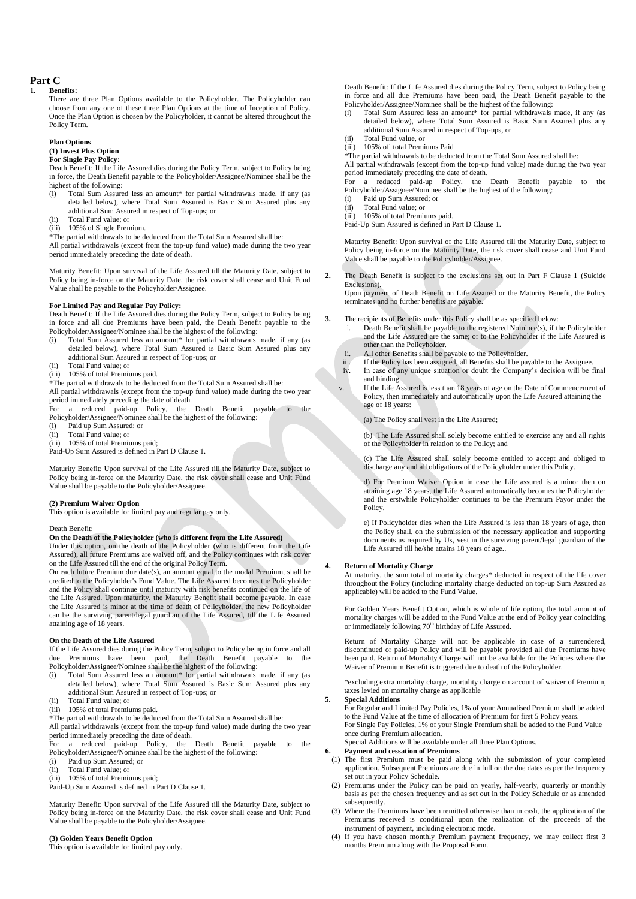# **Part C**

#### **1. Benefits:**

There are three Plan Options available to the Policyholder. The Policyholder can choose from any one of these three Plan Options at the time of Inception of Policy. Once the Plan Option is chosen by the Policyholder, it cannot be altered throughout the Policy Term.

### **Plan Options**

#### **(1) Invest Plus Option For Single Pay Policy:**

Death Benefit: If the Life Assured dies during the Policy Term, subject to Policy being in force, the Death Benefit payable to the Policyholder/Assignee/Nominee shall be the highest of the following:

- Total Sum Assured less an amount\* for partial withdrawals made, if any (as detailed below), where Total Sum Assured is Basic Sum Assured plus any additional Sum Assured in respect of Top-ups; or
- (ii) Total Fund value; or
- (iii) 105% of Single Premium.

\*The partial withdrawals to be deducted from the Total Sum Assured shall be: All partial withdrawals (except from the top-up fund value) made during the two year period immediately preceding the date of death.

Maturity Benefit: Upon survival of the Life Assured till the Maturity Date, subject to Policy being in-force on the Maturity Date, the risk cover shall cease and Unit Fund Value shall be payable to the Policyholder/Assignee.

#### **For Limited Pay and Regular Pay Policy:**

Death Benefit: If the Life Assured dies during the Policy Term, subject to Policy being in force and all due Premiums have been paid, the Death Benefit payable to the Policyholder/Assignee/Nominee shall be the highest of the following:

- (i) Total Sum Assured less an amount\* for partial withdrawals made, if any (as detailed below), where Total Sum Assured is Basic Sum Assured plus any additional Sum Assured in respect of Top-ups; or
- (ii) Total Fund value; or
- (iii) 105% of total Premiums paid.

\*The partial withdrawals to be deducted from the Total Sum Assured shall be:

All partial withdrawals (except from the top-up fund value) made during the two year period immediately preceding the date of death.

- For a reduced paid-up Policy, the Death Benefit payable to the Policyholder/Assignee/Nominee shall be the highest of the following:
- (i) Paid up Sum Assured; or
- (ii) Total Fund value; or
- (iii) 105% of total Premiums paid;
- Paid-Up Sum Assured is defined in Part D Clause 1.

Maturity Benefit: Upon survival of the Life Assured till the Maturity Date, subject to Policy being in-force on the Maturity Date, the risk cover shall cease and Unit Fund Value shall be payable to the Policyholder/Assignee.

#### **(2) Premium Waiver Option**

This option is available for limited pay and regular pay only.

#### Death Benefit:

# **On the Death of the Policyholder (who is different from the Life Assured)**

Under this option, on the death of the Policyholder (who is different from the Life Assured), all future Premiums are waived off, and the Policy continues with risk cover on the Life Assured till the end of the original Policy Term.

On each future Premium due date(s), an amount equal to the modal Premium, shall be credited to the Policyholder's Fund Value. The Life Assured becomes the Policyholder and the Policy shall continue until maturity with risk benefits continued on the life of the Life Assured. Upon maturity, the Maturity Benefit shall become payable. In case the Life Assured is minor at the time of death of Policyholder, the new Policyholder can be the surviving parent/legal guardian of the Life Assured, till the Life Assured attaining age of 18 years.

#### **On the Death of the Life Assured**

If the Life Assured dies during the Policy Term, subject to Policy being in force and all due Premiums have been paid, the Death Benefit payable to the Policyholder/Assignee/Nominee shall be the highest of the following:

- (i) Total Sum Assured less an amount\* for partial withdrawals made, if any (as detailed below), where Total Sum Assured is Basic Sum Assured plus any detailed below), where Total Sum Assured is Basic Sum Assured plus any additional Sum Assured in respect of Top-ups; or
- (ii) Total Fund value; or
- (iii) 105% of total Premiums paid.

\*The partial withdrawals to be deducted from the Total Sum Assured shall be:

All partial withdrawals (except from the top-up fund value) made during the two year

period immediately preceding the date of death. For a reduced paid-up Policy, the Death Benefit payable to the Policyholder/Assignee/Nominee shall be the highest of the following:

- (i) Paid up Sum Assured; or
- (ii) Total Fund value; or
- (iii) 105% of total Premiums paid;
- Paid-Up Sum Assured is defined in Part D Clause 1.

Maturity Benefit: Upon survival of the Life Assured till the Maturity Date, subject to Policy being in-force on the Maturity Date, the risk cover shall cease and Unit Fund Value shall be payable to the Policyholder/Assignee.

#### **(3) Golden Years Benefit Option**

This option is available for limited pay only.

Death Benefit: If the Life Assured dies during the Policy Term, subject to Policy being in force and all due Premiums have been paid, the Death Benefit payable to the Policyholder/Assignee/Nominee shall be the highest of the following:

- (i) Total Sum Assured less an amount\* for partial withdrawals made, if any (as detailed below), where Total Sum Assured is Basic Sum Assured plus any additional Sum Assured in respect of Top-ups, or
- (ii) Total Fund value, or (iii) 105% of total Premiums Paid

\*The partial withdrawals to be deducted from the Total Sum Assured shall be:

All partial withdrawals (except from the top-up fund value) made during the two year period immediately preceding the date of death.

For a reduced paid-up Policy, the Death Benefit payable to the Policyholder/Assignee/Nominee shall be the highest of the following:

(i) Paid up Sum Assured; or<br>(ii) Total Fund value: or Total Fund value; or

(iii) 105% of total Premiums paid.

Paid-Up Sum Assured is defined in Part D Clause 1.

Maturity Benefit: Upon survival of the Life Assured till the Maturity Date, subject to Policy being in-force on the Maturity Date, the risk cover shall cease and Unit Fund Value shall be payable to the Policyholder/Assignee.

**2.** The Death Benefit is subject to the exclusions set out in Part F Clause 1 (Suicide Exclusions).

Upon payment of Death Benefit on Life Assured or the Maturity Benefit, the Policy terminates and no further benefits are payable.

**3.** The recipients of Benefits under this Policy shall be as specified below:

- i. Death Benefit shall be payable to the registered Nominee(s), if the Policyholder and the Life Assured are the same; or to the Policyholder if the Life Assured is other than the Policyholder.
- ii. All other Benefits shall be payable to the Policyholder.
- iii. If the Policy has been assigned, all Benefits shall be payable to the Assignee.<br>In case of any unique situation or doubt the Company's decision will be In case of any unique situation or doubt the Company's decision will be final and binding.
- v. If the Life Assured is less than 18 years of age on the Date of Commencement of Policy, then immediately and automatically upon the Life Assured attaining the age of 18 years:

(a) The Policy shall vest in the Life Assured;

(b) The Life Assured shall solely become entitled to exercise any and all rights of the Policyholder in relation to the Policy; and

(c) The Life Assured shall solely become entitled to accept and obliged to discharge any and all obligations of the Policyholder under this Policy.

d) For Premium Waiver Option in case the Life assured is a minor then on attaining age 18 years, the Life Assured automatically becomes the Policyholder and the erstwhile Policyholder continues to be the Premium Payor under the Policy.

e) If Policyholder dies when the Life Assured is less than 18 years of age, then the Policy shall, on the submission of the necessary application and supporting documents as required by Us, vest in the surviving parent/legal guardian of the Life Assured till he/she attains 18 years of age..

### **4. Return of Mortality Charge**

At maturity, the sum total of mortality charges\* deducted in respect of the life cover throughout the Policy (including mortality charge deducted on top-up Sum Assured as applicable) will be added to the Fund Value.

For Golden Years Benefit Option, which is whole of life option, the total amount of mortality charges will be added to the Fund Value at the end of Policy year coinciding or immediately following 70<sup>th</sup> birthday of Life Assured.

Return of Mortality Charge will not be applicable in case of a surrendered, discontinued or paid-up Policy and will be payable provided all due Premiums have been paid. Return of Mortality Charge will not be available for the Policies where the Waiver of Premium Benefit is triggered due to death of the Policyholder.

\*excluding extra mortality charge, mortality charge on account of waiver of Premium, taxes levied on mortality charge as applicable

#### **5. Special Additions**

For Regular and Limited Pay Policies, 1% of your Annualised Premium shall be added to the Fund Value at the time of allocation of Premium for first 5 Policy years.

For Single Pay Policies, 1% of your Single Premium shall be added to the Fund Value once during Premium allocation.

Special Additions will be available under all three Plan Options.

#### **6. Payment and cessation of Premiums**

- (1) The first Premium must be paid along with the submission of your completed application. Subsequent Premiums are due in full on the due dates as per the frequency set out in your Policy Schedule.
- (2) Premiums under the Policy can be paid on yearly, half-yearly, quarterly or monthly basis as per the chosen frequency and as set out in the Policy Schedule or as amended subsequently.
- (3) Where the Premiums have been remitted otherwise than in cash, the application of the Premiums received is conditional upon the realization of the proceeds of the instrument of payment, including electronic mode.
- (4) If you have chosen monthly Premium payment frequency, we may collect first 3 months Premium along with the Proposal Form.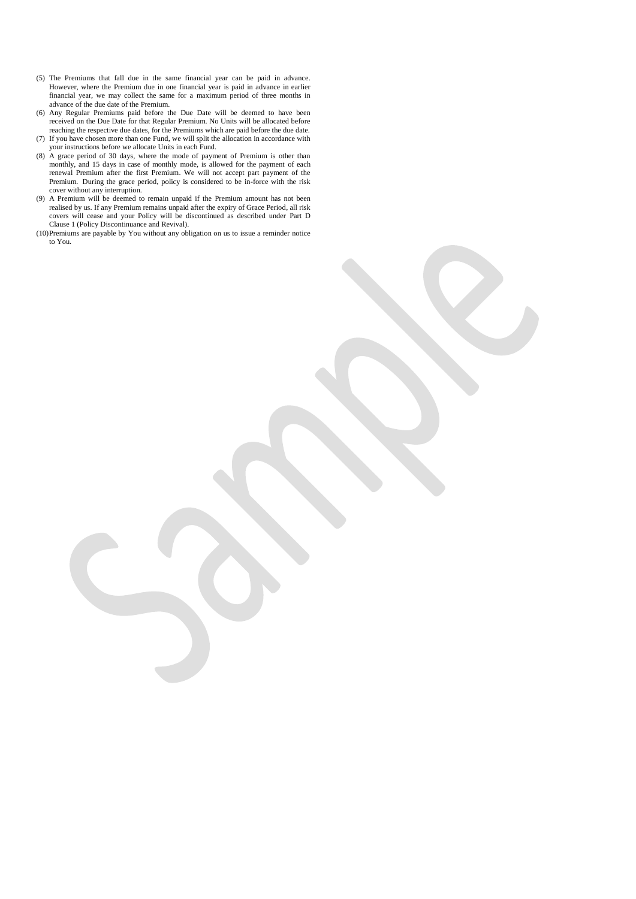- (5) The Premiums that fall due in the same financial year can be paid in advance. However, where the Premium due in one financial year is paid in advance in earlier financial year, we may collect the same for a maximum period of three months in advance of the due date of the Premium.
- (6) Any Regular Premiums paid before the Due Date will be deemed to have been received on the Due Date for that Regular Premium. No Units will be allocated before reaching the respective due dates, for the Premiums which are paid before the due date.
- (7) If you have chosen more than one Fund, we will split the allocation in accordance with your instructions before we allocate Units in each Fund.
- (8) A grace period of 30 days, where the mode of payment of Premium is other than monthly, and 15 days in case of monthly mode, is allowed for the payment of each renewal Premium after the first Premium. We will not accept part payment of the Premium. During the grace period, policy is considered to be in-force with the risk cover without any interruption.
- (9) A Premium will be deemed to remain unpaid if the Premium amount has not been realised by us. If any Premium remains unpaid after the expiry of Grace Period, all risk covers will cease and your Policy will be discontinued as described under Part D Clause 1 (Policy Discontinuance and Revival).
- (10)Premiums are payable by You without any obligation on us to issue a reminder notice to You.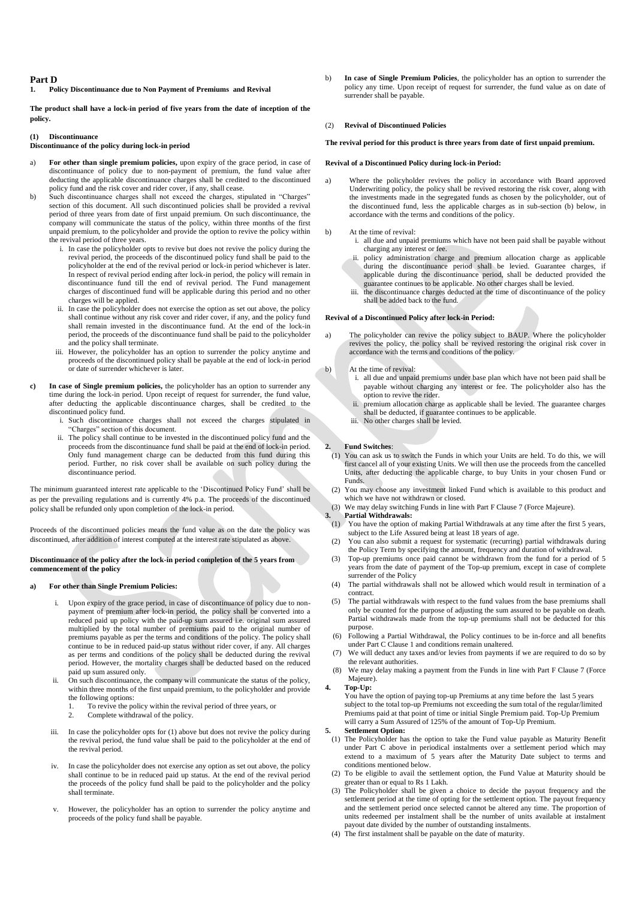# **Part D**<br>1. **Po**

#### **1. Policy Discontinuance due to Non Payment of Premiums and Revival**

**The product shall have a lock-in period of five years from the date of inception of the policy.**

#### **(1) Discontinuance**

### **Discontinuance of the policy during lock-in period**

- a) **For other than single premium policies,** upon expiry of the grace period, in case of discontinuance of policy due to non-payment of premium, the fund value after deducting the applicable discontinuance charges shall be credited to the discontinued policy fund and the risk cover and rider cover, if any, shall cease.
- b) Such discontinuance charges shall not exceed the charges, stipulated in "Charges" section of this document. All such discontinued policies shall be provided a revival period of three years from date of first unpaid premium. On such discontinuance, the company will communicate the status of the policy, within three months of the first unpaid premium, to the policyholder and provide the option to revive the policy within the revival period of three years.
	- i. In case the policyholder opts to revive but does not revive the policy during the revival period, the proceeds of the discontinued policy fund shall be paid to the policyholder at the end of the revival period or lock-in period whichever is later. In respect of revival period ending after lock-in period, the policy will remain in discontinuance fund till the end of revival period. The Fund management charges of discontinued fund will be applicable during this period and no other charges will be applied.
	- ii. In case the policyholder does not exercise the option as set out above, the policy shall continue without any risk cover and rider cover, if any, and the policy fund shall remain invested in the discontinuance fund. At the end of the lock-in period, the proceeds of the discontinuance fund shall be paid to the policyholder and the policy shall terminate.
	- iii. However, the policyholder has an option to surrender the policy anytime and proceeds of the discontinued policy shall be payable at the end of lock-in period or date of surrender whichever is later.
- **c) In case of Single premium policies,** the policyholder has an option to surrender any time during the lock-in period. Upon receipt of request for surrender, the fund value, after deducting the applicable discontinuance charges, shall be credited to the discontinued policy fund.
	- i. Such discontinuance charges shall not exceed the charges stipulated in "Charges" section of this document.
	- ii. The policy shall continue to be invested in the discontinued policy fund and the proceeds from the discontinuance fund shall be paid at the end of lock-in period. Only fund management charge can be deducted from this fund during this period. Further, no risk cover shall be available on such policy during the discontinuance period.

The minimum guaranteed interest rate applicable to the 'Discontinued Policy Fund' shall be as per the prevailing regulations and is currently 4% p.a. The proceeds of the discontinued policy shall be refunded only upon completion of the lock-in period.

Proceeds of the discontinued policies means the fund value as on the date the policy was discontinued, after addition of interest computed at the interest rate stipulated as above.

#### **Discontinuance of the policy after the lock-in period completion of the 5 years from commencement of the policy**

#### **a) For other than Single Premium Policies:**

- i. Upon expiry of the grace period, in case of discontinuance of policy due to nonpayment of premium after lock-in period, the policy shall be converted into a reduced paid up policy with the paid-up sum assured i.e. original sum assured multiplied by the total number of premiums paid to the original number of premiums payable as per the terms and conditions of the policy. The policy shall continue to be in reduced paid-up status without rider cover, if any. All charges as per terms and conditions of the policy shall be deducted during the revival period. However, the mortality charges shall be deducted based on the reduced paid up sum assured only.
- On such discontinuance, the company will communicate the status of the policy, within three months of the first unpaid premium, to the policyholder and provide the following options:
	- 1. To revive the policy within the revival period of three years, or
	- 2. Complete withdrawal of the policy.
- iii. In case the policyholder opts for (1) above but does not revive the policy during the revival period, the fund value shall be paid to the policyholder at the end of the revival period.
- In case the policyholder does not exercise any option as set out above, the policy shall continue to be in reduced paid up status. At the end of the revival period the proceeds of the policy fund shall be paid to the policyholder and the policy shall terminate.
- However, the policyholder has an option to surrender the policy anytime and proceeds of the policy fund shall be payable.

b) **In case of Single Premium Policies**, the policyholder has an option to surrender the policy any time. Upon receipt of request for surrender, the fund value as on date of surrender shall be payable.

#### (2) **Revival of Discontinued Policies**

#### **The revival period for this product is three years from date of first unpaid premium.**

#### **Revival of a Discontinued Policy during lock-in Period:**

- a) Where the policyholder revives the policy in accordance with Board approved Underwriting policy, the policy shall be revived restoring the risk cover, along with the investments made in the segregated funds as chosen by the policyholder, out of the discontinued fund, less the applicable charges as in sub-section (b) below, in accordance with the terms and conditions of the policy.
- b) At the time of revival:
	- i. all due and unpaid premiums which have not been paid shall be payable without charging any interest or fee.
	- ii. policy administration charge and premium allocation charge as applicable during the discontinuance period shall be levied. Guarantee charges, if applicable during the discontinuance period, shall be deducted provided the guarantee continues to be applicable. No other charges shall be levied.
	- iii. the discontinuance charges deducted at the time of discontinuance of the policy shall be added back to the fund.

#### **Revival of a Discontinued Policy after lock-in Period:**

a) The policyholder can revive the policy subject to BAUP. Where the policyholder revives the policy, the policy shall be revived restoring the original risk cover in accordance with the terms and conditions of the policy.

#### b) At the time of revival:

- i. all due and unpaid premiums under base plan which have not been paid shall be payable without charging any interest or fee. The policyholder also has the option to revive the rider.
- premium allocation charge as applicable shall be levied. The guarantee charges shall be deducted, if guarantee continues to be applicable.
- iii. No other charges shall be levied.

#### **2. Fund Switches**:

- (1) You can ask us to switch the Funds in which your Units are held. To do this, we will first cancel all of your existing Units. We will then use the proceeds from the cancelled Units, after deducting the applicable charge, to buy Units in your chosen Fund or Funds.
- (2) You may choose any investment linked Fund which is available to this product and which we have not withdrawn or closed.
- (3) We may delay switching Funds in line with Part F Clause 7 (Force Majeure).<br>3. Partial Withdrawals:

### **3. Partial Withdrawals:**

- (1) You have the option of making Partial Withdrawals at any time after the first 5 years, subject to the Life Assured being at least 18 years of age.
- (2) You can also submit a request for systematic (recurring) partial withdrawals during the Policy Term by specifying the amount, frequency and duration of withdrawal.
- (3) Top-up premiums once paid cannot be withdrawn from the fund for a period of 5 years from the date of payment of the Top-up premium, except in case of complete surrender of the Policy
- (4) The partial withdrawals shall not be allowed which would result in termination of a contract.
- (5) The partial withdrawals with respect to the fund values from the base premiums shall only be counted for the purpose of adjusting the sum assured to be payable on death. Partial withdrawals made from the top-up premiums shall not be deducted for this purpose.
- (6) Following a Partial Withdrawal, the Policy continues to be in-force and all benefits under Part C Clause 1 and conditions remain unaltered.
- We will deduct any taxes and/or levies from payments if we are required to do so by the relevant authorities.
- (8) We may delay making a payment from the Funds in line with Part F Clause 7 (Force Majeure).

#### **4. Top-Up:**

You have the option of paying top-up Premiums at any time before the last 5 years subject to the total top-up Premiums not exceeding the sum total of the regular/limited Premiums paid at that point of time or initial Single Premium paid. Top-Up Premium will carry a Sum Assured of 125% of the amount of Top-Up Premium.

- **5. Settlement Option:**
- (1) The Policyholder has the option to take the Fund value payable as Maturity Benefit under Part C above in periodical instalments over a settlement period which may extend to a maximum of 5 years after the Maturity Date subject to terms and conditions mentioned below.
- (2) To be eligible to avail the settlement option, the Fund Value at Maturity should be greater than or equal to Rs 1 Lakh.
- (3) The Policyholder shall be given a choice to decide the payout frequency and the settlement period at the time of opting for the settlement option. The payout frequency and the settlement period once selected cannot be altered any time. The proportion of units redeemed per instalment shall be the number of units available at instalment payout date divided by the number of outstanding instalments.
- (4) The first instalment shall be payable on the date of maturity.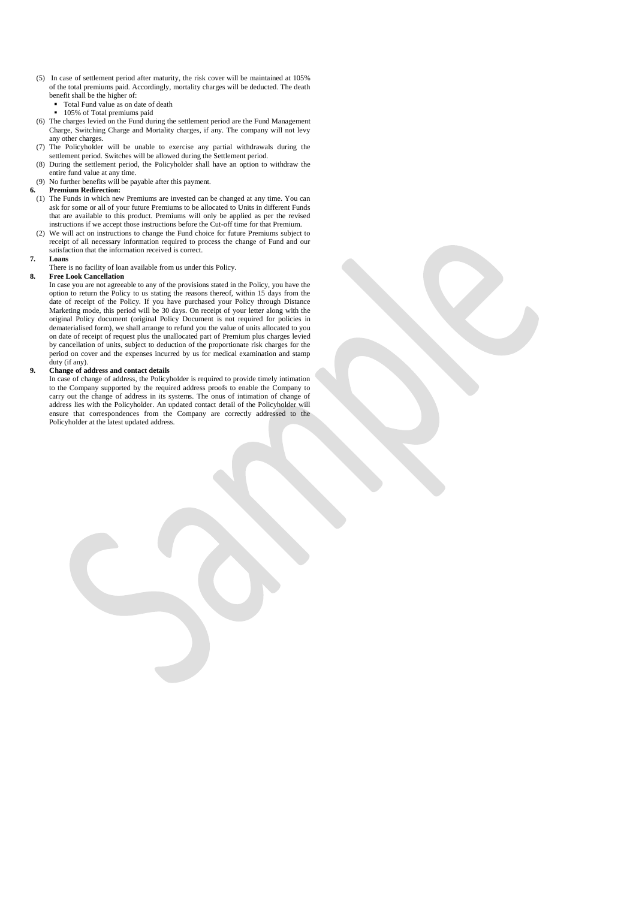- (5) In case of settlement period after maturity, the risk cover will be maintained at 105% of the total premiums paid. Accordingly, mortality charges will be deducted. The death benefit shall be the higher of:
	- Total Fund value as on date of death
	- <sup>1</sup> 105% of Total premiums paid
- (6) The charges levied on the Fund during the settlement period are the Fund Management Charge, Switching Charge and Mortality charges, if any. The company will not levy any other charges.
- (7) The Policyholder will be unable to exercise any partial withdrawals during the settlement period. Switches will be allowed during the Settlement period.
- (8) During the settlement period, the Policyholder shall have an option to withdraw the entire fund value at any time.
- (9) No further benefits will be payable after this payment.

# **6. Premium Redirection:**

- (1) The Funds in which new Premiums are invested can be changed at any time. You can ask for some or all of your future Premiums to be allocated to Units in different Funds that are available to this product. Premiums will only be applied as per the revised instructions if we accept those instructions before the Cut-off time for that Premium.
- (2) We will act on instructions to change the Fund choice for future Premiums subject to receipt of all necessary information required to process the change of Fund and our satisfaction that the information received is correct.

#### **7. Loans**

There is no facility of loan available from us under this Policy.

### **8. Free Look Cancellation**

In case you are not agreeable to any of the provisions stated in the Policy, you have the option to return the Policy to us stating the reasons thereof, within 15 days from the date of receipt of the Policy. If you have purchased your Policy through Distance Marketing mode, this period will be 30 days. On receipt of your letter along with the original Policy document (original Policy Document is not required for policies in dematerialised form), we shall arrange to refund you the value of units allocated to you on date of receipt of request plus the unallocated part of Premium plus charges levied by cancellation of units, subject to deduction of the proportionate risk charges for the period on cover and the expenses incurred by us for medical examination and stamp duty (if any).

#### **9. Change of address and contact details**

In case of change of address, the Policyholder is required to provide timely intimation to the Company supported by the required address proofs to enable the Company to carry out the change of address in its systems. The onus of intimation of change of address lies with the Policyholder. An updated contact detail of the Policyholder will ensure that correspondences from the Company are correctly addressed to the Policyholder at the latest updated address.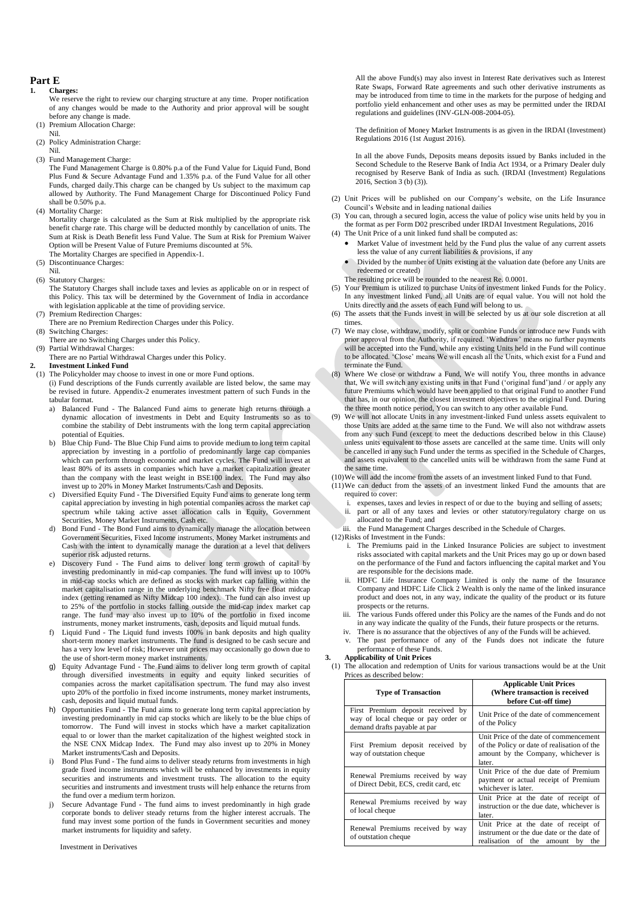# **Part E**

# **1. Charges:**

- We reserve the right to review our charging structure at any time. Proper notification of any changes would be made to the Authority and prior approval will be sought before any change is made.
- (1) Premium Allocation Charge:
- Nil.
- (2) Policy Administration Charge:

Nil.

- (3) Fund Management Charge:
	- The Fund Management Charge is 0.80% p.a of the Fund Value for Liquid Fund, Bond Plus Fund & Secure Advantage Fund and 1.35% p.a. of the Fund Value for all other Funds, charged daily.This charge can be changed by Us subject to the maximum cap allowed by Authority. The Fund Management Charge for Discontinued Policy Fund shall be 0.50% p.a.
- (4) Mortality Charge:

Mortality charge is calculated as the Sum at Risk multiplied by the appropriate risk benefit charge rate. This charge will be deducted monthly by cancellation of units. The Sum at Risk is Death Benefit less Fund Value. The Sum at Risk for Premium Waiver Option will be Present Value of Future Premiums discounted at 5%.

- The Mortality Charges are specified in Appendix-1. (5) Discontinuance Charges:
- Nil.
- (6) Statutory Charges:
- The Statutory Charges shall include taxes and levies as applicable on or in respect of this Policy. This tax will be determined by the Government of India in accordance with legislation applicable at the time of providing service.
- (7) Premium Redirection Charges:
- There are no Premium Redirection Charges under this Policy.
- (8) Switching Charges:
- There are no Switching Charges under this Policy. (9) Partial Withdrawal Charges:
- There are no Partial Withdrawal Charges under this Policy.
- **2. Investment Linked Fund**
- (1) The Policyholder may choose to invest in one or more Fund options.
	- (i) Fund descriptions of the Funds currently available are listed below, the same may be revised in future. Appendix-2 enumerates investment pattern of such Funds in the tabular format.
		- a) Balanced Fund The Balanced Fund aims to generate high returns through a dynamic allocation of investments in Debt and Equity Instruments so as to combine the stability of Debt instruments with the long term capital appreciation potential of Equities.
		- b) Blue Chip Fund- The Blue Chip Fund aims to provide medium to long term capital appreciation by investing in a portfolio of predominantly large cap companies which can perform through economic and market cycles. The Fund will invest at least 80% of its assets in companies which have a market capitalization greater than the company with the least weight in BSE100 index. The Fund may also invest up to 20% in Money Market Instruments/Cash and Deposits.
		- c) Diversified Equity Fund The Diversified Equity Fund aims to generate long term capital appreciation by investing in high potential companies across the market cap spectrum while taking active asset allocation calls in Equity, Government Securities, Money Market Instruments, Cash etc.
		- d) Bond Fund The Bond Fund aims to dynamically manage the allocation between Government Securities, Fixed Income instruments, Money Market instruments and Cash with the intent to dynamically manage the duration at a level that delivers superior risk adjusted returns.
		- e) Discovery Fund The Fund aims to deliver long term growth of capital by investing predominantly in mid-cap companies. The fund will invest up to 100% in mid-cap stocks which are defined as stocks with market cap falling within the market capitalisation range in the underlying benchmark Nifty free float midcap index (getting renamed as Nifty Midcap 100 index). The fund can also invest up to 25% of the portfolio in stocks falling outside the mid-cap index market cap range. The fund may also invest up to 10% of the portfolio in fixed income instruments, money market instruments, cash, deposits and liquid mutual funds.
		- Liquid Fund The Liquid fund invests 100% in bank deposits and high quality short-term money market instruments. The fund is designed to be cash secure and has a very low level of risk; However unit prices may occasionally go down due to the use of short-term money market instruments.
		- g) Equity Advantage Fund The Fund aims to deliver long term growth of capital through diversified investments in equity and equity linked securities of companies across the market capitalisation spectrum. The fund may also invest upto 20% of the portfolio in fixed income instruments, money market instruments, cash, deposits and liquid mutual funds.
		- Opportunities Fund The Fund aims to generate long term capital appreciation by investing predominantly in mid cap stocks which are likely to be the blue chips of tomorrow. The Fund will invest in stocks which have a market capitalization equal to or lower than the market capitalization of the highest weighted stock in the NSE CNX Midcap Index. The Fund may also invest up to 20% in Money Market instruments/Cash and Deposits.
		- Bond Plus Fund The fund aims to deliver steady returns from investments in high grade fixed income instruments which will be enhanced by investments in equity securities and instruments and investment trusts. The allocation to the equity securities and instruments and investment trusts will help enhance the returns from the fund over a medium term horizon.
		- j) Secure Advantage Fund The fund aims to invest predominantly in high grade corporate bonds to deliver steady returns from the higher interest accruals. The fund may invest some portion of the funds in Government securities and money market instruments for liquidity and safety.

All the above Fund(s) may also invest in Interest Rate derivatives such as Interest Rate Swaps, Forward Rate agreements and such other derivative instruments as may be introduced from time to time in the markets for the purpose of hedging and portfolio yield enhancement and other uses as may be permitted under the IRDAI regulations and guidelines (INV-GLN-008-2004-05).

The definition of Money Market Instruments is as given in the IRDAI (Investment) Regulations 2016 (1st August 2016).

In all the above Funds, Deposits means deposits issued by Banks included in the Second Schedule to the Reserve Bank of India Act 1934, or a Primary Dealer duly recognised by Reserve Bank of India as such. (IRDAI (Investment) Regulations 2016, Section 3 (b) (3)).

- (2) Unit Prices will be published on our Company's website, on the Life Insurance Council's Website and in leading national dailies
- (3) You can, through a secured login, access the value of policy wise units held by you in the format as per Form D02 prescribed under IRDAI Investment Regulations, 2016
- (4) The Unit Price of a unit linked fund shall be computed as: • Market Value of investment held by the Fund plus the value of any current assets
	- less the value of any current liabilities & provisions, if any
	- Divided by the number of Units existing at the valuation date (before any Units are redeemed or created) The resulting price will be rounded to the nearest Re. 0.0001.
- (5) Your Premium is utilized to purchase Units of investment linked Funds for the Policy. In any investment linked Fund, all Units are of equal value. You will not hold the Units directly and the assets of each Fund will belong to us.
- (6) The assets that the Funds invest in will be selected by us at our sole discretion at all times.
- (7) We may close, withdraw, modify, split or combine Funds or introduce new Funds with prior approval from the Authority, if required. 'Withdraw' means no further payments will be accepted into the Fund, while any existing Units held in the Fund will continue to be allocated. 'Close' means We will encash all the Units, which exist for a Fund and terminate the Fund.
- (8) Where We close or withdraw a Fund, We will notify You, three months in advance that, We will switch any existing units in that Fund ('original fund')and / or apply any future Premiums which would have been applied to that original Fund to another Fund that has, in our opinion, the closest investment objectives to the original Fund. During the three month notice period, You can switch to any other available Fund.
- We will not allocate Units in any investment-linked Fund unless assets equivalent to those Units are added at the same time to the Fund. We will also not withdraw assets from any such Fund (except to meet the deductions described below in this Clause) unless units equivalent to those assets are cancelled at the same time. Units will only be cancelled in any such Fund under the terms as specified in the Schedule of Charges, and assets equivalent to the cancelled units will be withdrawn from the same Fund at the same time.
- (10)We will add the income from the assets of an investment linked Fund to that Fund.
- (11)We can deduct from the assets of an investment linked Fund the amounts that are required to cover:
	- expenses, taxes and levies in respect of or due to the buying and selling of assets; ii. part or all of any taxes and levies or other statutory/regulatory charge on us
	- allocated to the Fund; and iii. the Fund Management Charges described in the Schedule of Charges.
- (12)Risks of Investment in the Funds:
	- i. The Premiums paid in the Linked Insurance Policies are subject to investment risks associated with capital markets and the Unit Prices may go up or down based on the performance of the Fund and factors influencing the capital market and You are responsible for the decisions made.
	- ii. HDFC Life Insurance Company Limited is only the name of the Insurance Company and HDFC Life Click 2 Wealth is only the name of the linked insurance product and does not, in any way, indicate the quality of the product or its future prospects or the returns.
	- iii. The various Funds offered under this Policy are the names of the Funds and do not in any way indicate the quality of the Funds, their future prospects or the returns.
	- iv. There is no assurance that the objectives of any of the Funds will be achieved.
	- The past performance of any of the Funds does not indicate the future performance of these Funds.
- **3. Applicability of Unit Prices**
- (1) The allocation and redemption of Units for various transactions would be at the Unit Prices as described below:

| <b>Type of Transaction</b>                                                                               | <b>Applicable Unit Prices</b><br>(Where transaction is received<br>before Cut-off time)                                                |  |  |
|----------------------------------------------------------------------------------------------------------|----------------------------------------------------------------------------------------------------------------------------------------|--|--|
| First Premium deposit received by<br>way of local cheque or pay order or<br>demand drafts payable at par | Unit Price of the date of commencement<br>of the Policy                                                                                |  |  |
| First Premium deposit received by<br>way of outstation cheque                                            | Unit Price of the date of commencement<br>of the Policy or date of realisation of the<br>amount by the Company, whichever is<br>later. |  |  |
| Renewal Premiums received by way<br>of Direct Debit, ECS, credit card, etc.                              | Unit Price of the due date of Premium<br>payment or actual receipt of Premium<br>whichever is later.                                   |  |  |
| Renewal Premiums received by way<br>of local cheque                                                      | Unit Price at the date of receipt of<br>instruction or the due date, whichever is<br>later.                                            |  |  |
| Renewal Premiums received by way<br>of outstation cheque                                                 | Unit Price at the date of receipt of<br>instrument or the due date or the date of<br>realisation of the<br>the<br>amount<br>by         |  |  |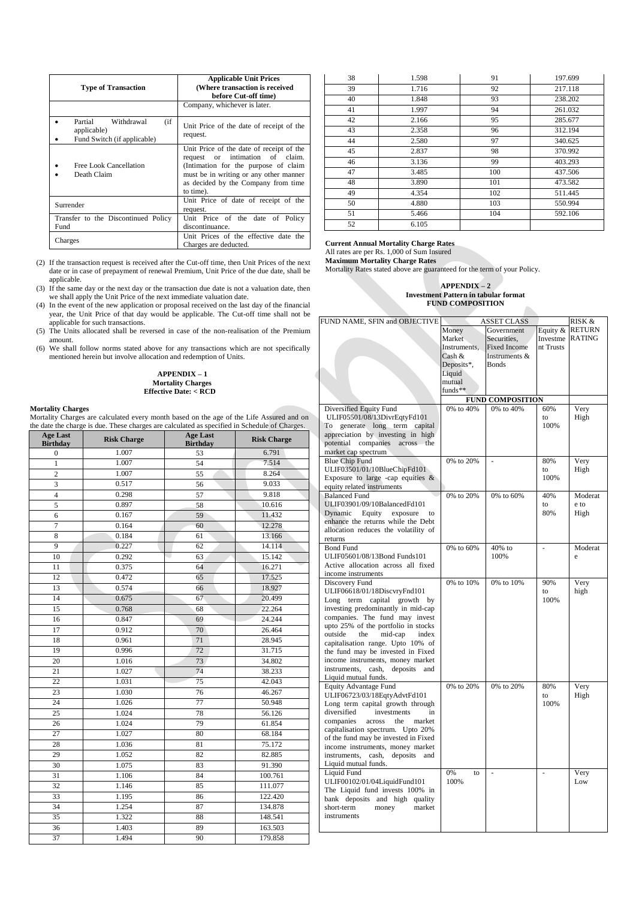| <b>Type of Transaction</b>                                                   | <b>Applicable Unit Prices</b><br>(Where transaction is received<br>before Cut-off time)                                                                                                                              |
|------------------------------------------------------------------------------|----------------------------------------------------------------------------------------------------------------------------------------------------------------------------------------------------------------------|
|                                                                              | Company, whichever is later.                                                                                                                                                                                         |
| Partial<br>(i f)<br>Withdrawal<br>applicable)<br>Fund Switch (if applicable) | Unit Price of the date of receipt of the<br>request.                                                                                                                                                                 |
| Free Look Cancellation<br>Death Claim                                        | Unit Price of the date of receipt of the<br>or intimation of claim.<br>request<br>(Intimation for the purpose of claim<br>must be in writing or any other manner<br>as decided by the Company from time<br>to time). |
| Surrender                                                                    | Unit Price of date of receipt of the<br>request.                                                                                                                                                                     |
| Transfer to the Discontinued Policy<br>Fund                                  | Unit Price of the date of<br>Policy<br>discontinuance.                                                                                                                                                               |
| Charges                                                                      | Unit Prices of the effective date the<br>Charges are deducted.                                                                                                                                                       |

(2) If the transaction request is received after the Cut-off time, then Unit Prices of the next date or in case of prepayment of renewal Premium, Unit Price of the due date, shall be applicable.

(3) If the same day or the next day or the transaction due date is not a valuation date, then we shall apply the Unit Price of the next immediate valuation date.

(4) In the event of the new application or proposal received on the last day of the financial year, the Unit Price of that day would be applicable. The Cut-off time shall not be applicable for such transactions.

(5) The Units allocated shall be reversed in case of the non-realisation of the Premium amount.

(6) We shall follow norms stated above for any transactions which are not specifically mentioned herein but involve allocation and redemption of Units.

#### **APPENDIX – 1 Mortality Charges Effective Date: < RCD**

**Mortality Charges** Mortality Charges are calculated every month based on the age of the Life Assured and on the date the charge is due. These charges are calculated as specified in Schedule of Charges.

| <b>Age Last</b><br><b>Birthday</b> | <b>Risk Charge</b> | <b>Age Last</b><br><b>Risk Charge</b><br><b>Birthday</b> |                  |  |
|------------------------------------|--------------------|----------------------------------------------------------|------------------|--|
| $\overline{0}$                     | 1.007              | 53                                                       | 6.791            |  |
| $\mathbf{1}$                       | 1.007              | 54                                                       | 7.514            |  |
| $\overline{2}$                     | 1.007              | 55                                                       | 8.264            |  |
| 3                                  | 0.517              | 56                                                       | 9.033            |  |
| $\overline{\mathbf{4}}$            | 0.298              | 57                                                       | 9.818            |  |
| 5                                  | 0.897              | 58                                                       | 10.616           |  |
| 6                                  | 0.167              | 59                                                       | 11.432           |  |
| 7                                  | 0.164              | 60                                                       | 12.278           |  |
| 8                                  | 0.184              | 61                                                       | 13.166           |  |
| 9                                  | 0.227              | 62                                                       | 14.114           |  |
| 10                                 | 0.292              | 63                                                       | 15.142           |  |
| 11                                 | 0.375              | 64                                                       | 16.271           |  |
| 12                                 | 0.472              | 65                                                       | 17.525           |  |
| 13                                 | 0.574              | 66                                                       | 18.927           |  |
| 14                                 | 0.675              | 67                                                       | 20.499           |  |
| 15                                 | 0.768              | 68                                                       | 22.264           |  |
| 16                                 | 0.847              | 69                                                       |                  |  |
| 17                                 | 0.912              | 70                                                       | 26.464           |  |
| 18                                 | 0.961              | 71                                                       | 28.945<br>31.715 |  |
| 19                                 | 0.996              | 72                                                       |                  |  |
| 20                                 | 1.016              | 73                                                       | 34.802           |  |
| 21                                 | 1.027              | 74                                                       | 38.233           |  |
| 22                                 | 1.031              | 75                                                       | 42.043           |  |
| 23                                 | 1.030              | 76                                                       | 46.267           |  |
| 24                                 | 1.026              | $\overline{77}$                                          | 50.948           |  |
| 25                                 | 1.024              | 78                                                       | 56.126           |  |
| 26                                 | 1.024<br>79        |                                                          | 61.854           |  |
| 27                                 | 1.027              | 80                                                       | 68.184           |  |
| 28                                 | 1.036              | 81                                                       | 75.172           |  |
| 29                                 | 1.052              | 82                                                       | 82.885           |  |
| 30                                 | 1.075              | 83                                                       | 91.390           |  |
| 31                                 | 1.106              | 84                                                       | 100.761          |  |
| 32                                 | 1.146              | 85                                                       | 111.077          |  |
| 33                                 | 1.195              | 86                                                       | 122.420          |  |
| 34                                 | 1.254              | 87                                                       | 134.878          |  |
| 35                                 | 1.322              | 88                                                       | 148.541          |  |
| 36                                 | 1.403              | 89                                                       | 163.503          |  |
| 37                                 | 1.494              | 90                                                       | 179.858          |  |

| 38 | 1.598 | 91  | 197.699 |
|----|-------|-----|---------|
| 39 | 1.716 | 92  | 217.118 |
| 40 | 1.848 | 93  | 238.202 |
| 41 | 1.997 | 94  | 261.032 |
| 42 | 2.166 | 95  | 285.677 |
| 43 | 2.358 | 96  | 312.194 |
| 44 | 2.580 | 97  | 340.625 |
| 45 | 2.837 | 98  | 370.992 |
| 46 | 3.136 | 99  | 403.293 |
| 47 | 3.485 | 100 | 437.506 |
| 48 | 3.890 | 101 | 473.582 |
| 49 | 4.354 | 102 | 511.445 |
| 50 | 4.880 | 103 | 550.994 |
| 51 | 5.466 | 104 | 592.106 |
| 52 | 6.105 |     |         |

**Current Annual Mortality Charge Rates**

All rates are per Rs. 1,000 of Sum Insured

**Maximum Mortality Charge Rates**

Mortality Rates stated above are guaranteed for the term of your Policy.

#### **APPENDIX – 2 Investment Pattern in tabular format FUND COMPOSITION**

|                                                                                     | <b>FUND COMPOSITION</b> |                         |           |               |
|-------------------------------------------------------------------------------------|-------------------------|-------------------------|-----------|---------------|
| FUND NAME, SFIN and OBJECTIVE                                                       |                         | <b>ASSET CLASS</b>      |           | RISK &        |
|                                                                                     | Money                   | Government              | Equity &  | RETURN        |
|                                                                                     | Market                  | Securities.             | Investme  | <b>RATING</b> |
|                                                                                     | Instruments.            | <b>Fixed Income</b>     | nt Trusts |               |
|                                                                                     | Cash &                  | Instruments &           |           |               |
|                                                                                     | Deposits*,              | <b>Bonds</b>            |           |               |
|                                                                                     | Liquid                  |                         |           |               |
|                                                                                     | mutual                  |                         |           |               |
|                                                                                     | funds**                 |                         |           |               |
|                                                                                     |                         | <b>FUND COMPOSITION</b> |           |               |
| Diversified Equity Fund                                                             | 0% to 40%               | 0% to 40%               | 60%       | Very          |
| ULIF05501/08/13DivrEqtyFd101                                                        |                         |                         | to        | High          |
| generate long term capital<br>To                                                    |                         |                         | 100%      |               |
| appreciation by investing in high                                                   |                         |                         |           |               |
| potential companies across the                                                      |                         |                         |           |               |
| market cap spectrum                                                                 |                         |                         |           |               |
| <b>Blue Chip Fund</b>                                                               | 0% to 20%               | $\overline{a}$          | 80%       | Very          |
| ULIF03501/01/10BlueChipFd101                                                        |                         |                         | to        | High          |
| Exposure to large -cap equities $\&$                                                |                         |                         | 100%      |               |
| equity related instruments                                                          |                         |                         |           |               |
| <b>Balanced Fund</b>                                                                | 0% to 20%               | 0% to 60%               | 40%       | Moderat       |
| ULIF03901/09/10BalancedFd101                                                        |                         |                         | to        | e to          |
| Dynamic<br>Equity<br>exposure<br>$t_{\Omega}$<br>enhance the returns while the Debt |                         |                         | 80%       | High          |
| allocation reduces the volatility of                                                |                         |                         |           |               |
| returns                                                                             |                         |                         |           |               |
| <b>Bond Fund</b>                                                                    | 0% to 60%               | 40% to                  | ä,        | Moderat       |
| ULIF05601/08/13Bond Funds101                                                        |                         | 100%                    |           | e             |
| Active allocation across all fixed                                                  |                         |                         |           |               |
| income instruments                                                                  |                         |                         |           |               |
| Discovery Fund                                                                      | 0% to 10%               | 0% to 10%               | 90%       | Very          |
| ULIF06618/01/18DiscvryFnd101                                                        |                         |                         | to        | high          |
| term capital<br>Long<br>growth<br>by                                                |                         |                         | 100%      |               |
| investing predominantly in mid-cap                                                  |                         |                         |           |               |
| companies. The fund may invest                                                      |                         |                         |           |               |
| upto 25% of the portfolio in stocks                                                 |                         |                         |           |               |
| outside<br>mid-cap<br>the<br>index                                                  |                         |                         |           |               |
| capitalisation range. Upto 10% of                                                   |                         |                         |           |               |
| the fund may be invested in Fixed                                                   |                         |                         |           |               |
| income instruments, money market                                                    |                         |                         |           |               |
| instruments, cash,<br>deposits<br>and                                               |                         |                         |           |               |
| Liquid mutual funds.                                                                |                         |                         |           |               |
| <b>Equity Advantage Fund</b>                                                        | 0% to 20%               | 0% to 20%               | 80%       | Very          |
| ULIF06723/03/18EqtyAdvtFd101                                                        |                         |                         | to        | High          |
| Long term capital growth through                                                    |                         |                         | 100%      |               |
| diversified<br>investments<br>in                                                    |                         |                         |           |               |
| companies<br>across<br>the<br>market                                                |                         |                         |           |               |
| capitalisation spectrum. Upto 20%                                                   |                         |                         |           |               |
| of the fund may be invested in Fixed                                                |                         |                         |           |               |
| income instruments, money market<br>instruments.<br>cash,<br>deposits<br>and        |                         |                         |           |               |
| Liquid mutual funds.                                                                |                         |                         |           |               |
| <b>Liquid Fund</b>                                                                  | 0%<br>to                |                         |           | Very          |
| ULIF00102/01/04LiquidFund101                                                        | 100%                    |                         |           | Low           |
| The Liquid fund invests 100% in                                                     |                         |                         |           |               |
| bank deposits and high<br>quality                                                   |                         |                         |           |               |
| short-term<br>money<br>market                                                       |                         |                         |           |               |
| instruments                                                                         |                         |                         |           |               |
|                                                                                     |                         |                         |           |               |
|                                                                                     |                         |                         |           |               |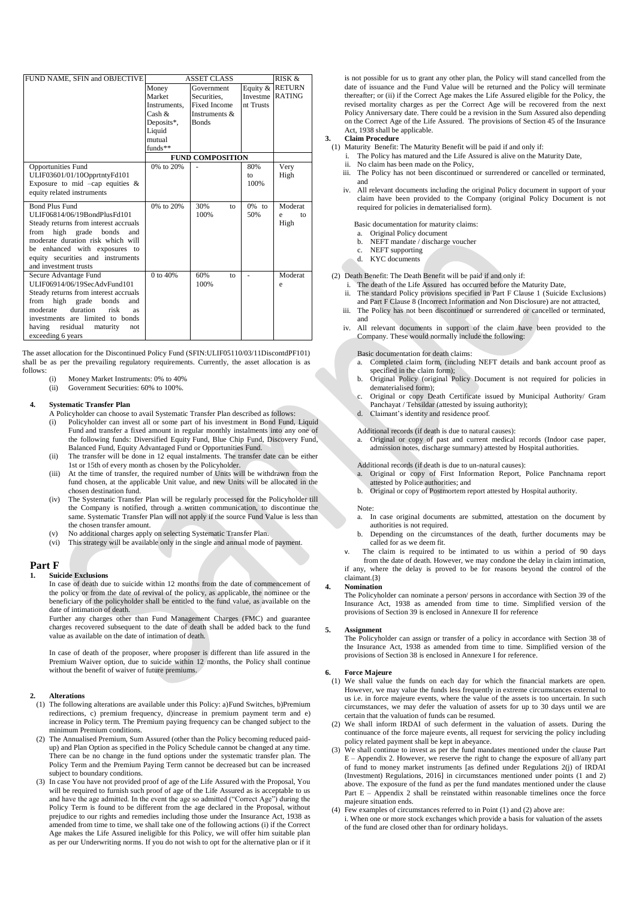| FUND NAME, SFIN and OBJECTIVE         |              | RISK &<br><b>ASSET CLASS</b> |           |               |
|---------------------------------------|--------------|------------------------------|-----------|---------------|
|                                       | Money        | Government                   | Equity &  | <b>RETURN</b> |
|                                       | Market       | Securities.                  | Investme  | <b>RATING</b> |
|                                       | Instruments, | <b>Fixed Income</b>          | nt Trusts |               |
|                                       | Cash $\&$    | Instruments &                |           |               |
|                                       | Deposits*,   | <b>Bonds</b>                 |           |               |
|                                       | Liquid       |                              |           |               |
|                                       | mutual       |                              |           |               |
|                                       | $funds**$    |                              |           |               |
|                                       |              | <b>FUND COMPOSITION</b>      |           |               |
| <b>Opportunities Fund</b>             | 0% to 20%    |                              | 80%       | Very          |
| ULIF03601/01/10OpprtntyFd101          |              |                              | to        | High          |
| Exposure to mid $-cap$ equities &     |              |                              | 100%      |               |
| equity related instruments            |              |                              |           |               |
| <b>Bond Plus Fund</b>                 | 0% to 20%    | 30%<br>to                    | $0\%$ to  | Moderat       |
| ULIF06814/06/19BondPlusFd101          |              | 100%                         | 50%       | ė<br>to       |
| Steady returns from interest accruals |              |                              |           | High          |
| high grade bonds<br>from<br>and       |              |                              |           |               |
| moderate duration risk which will     |              |                              |           |               |
| be enhanced with exposures to         |              |                              |           |               |
| equity securities and instruments     |              |                              |           |               |
| and investment trusts                 |              |                              |           |               |
| Secure Advantage Fund                 | 0 to 40%     | 60%<br>to                    |           | Moderat       |
| ULIF06914/06/19SecAdvFund101          |              | 100%                         |           | e             |
| Steady returns from interest accruals |              |                              |           |               |
| high grade<br>from<br>bonds<br>and    |              |                              |           |               |
| duration<br>risk<br>moderate<br>as    |              |                              |           |               |
| investments are limited to bonds      |              |                              |           |               |
| residual<br>having<br>maturity<br>not |              |                              |           |               |
| exceeding 6 years                     |              |                              |           |               |

The asset allocation for the Discontinued Policy Fund (SFIN:ULIF05110/03/11DiscontdPF101) shall be as per the prevailing regulatory requirements. Currently, the asset allocation is as follows:

(i) Money Market Instruments: 0% to 40% (ii) Government Securities: 60% to 100%.

#### **4. Systematic Transfer Plan**

- A Policyholder can choose to avail Systematic Transfer Plan described as follows: Policyholder can invest all or some part of his investment in Bond Fund, Liquid Fund and transfer a fixed amount in regular monthly instalments into any one of the following funds: Diversified Equity Fund, Blue Chip Fund, Discovery Fund,
- Balanced Fund, Equity Advantaged Fund or Opportunities Fund. (ii) The transfer will be done in 12 equal instalments. The transfer date can be either 1st or 15th of every month as chosen by the Policyholder.
- (iii) At the time of transfer, the required number of Units will be withdrawn from the fund chosen, at the applicable Unit value, and new Units will be allocated in the chosen destination fund.
- (iv) The Systematic Transfer Plan will be regularly processed for the Policyholder till the Company is notified, through a written communication, to discontinue the same. Systematic Transfer Plan will not apply if the source Fund Value is less than the chosen transfer amount.
- (v) No additional charges apply on selecting Systematic Transfer Plan.
- (vi) This strategy will be available only in the single and annual mode of payment.

### **Part F**

**1. Suicide Exclusions**

In case of death due to suicide within 12 months from the date of commencement of the policy or from the date of revival of the policy, as applicable, the nominee or the beneficiary of the policyholder shall be entitled to the fund value, as available on the date of intimation of death.

Further any charges other than Fund Management Charges (FMC) and guarantee charges recovered subsequent to the date of death shall be added back to the fund value as available on the date of intimation of death.

In case of death of the proposer, where proposer is different than life assured in the Premium Waiver option, due to suicide within 12 months, the Policy shall continue without the benefit of waiver of future premiums.

#### **2. Alterations**

- (1) The following alterations are available under this Policy: a)Fund Switches, b)Premium redirections, c) premium frequency, d)increase in premium payment term and e) increase in Policy term. The Premium paying frequency can be changed subject to the minimum Premium conditions.
- (2) The Annualised Premium, Sum Assured (other than the Policy becoming reduced paidup) and Plan Option as specified in the Policy Schedule cannot be changed at any time. There can be no change in the fund options under the systematic transfer plan. The Policy Term and the Premium Paying Term cannot be decreased but can be increased subject to boundary conditions.
- (3) In case You have not provided proof of age of the Life Assured with the Proposal, You will be required to furnish such proof of age of the Life Assured as is acceptable to us and have the age admitted. In the event the age so admitted ("Correct Age") during the Policy Term is found to be different from the age declared in the Proposal, without prejudice to our rights and remedies including those under the Insurance Act, 1938 as amended from time to time, we shall take one of the following actions (i) if the Correct Age makes the Life Assured ineligible for this Policy, we will offer him suitable plan as per our Underwriting norms. If you do not wish to opt for the alternative plan or if it

is not possible for us to grant any other plan, the Policy will stand cancelled from the date of issuance and the Fund Value will be returned and the Policy will terminate thereafter; or (ii) if the Correct Age makes the Life Assured eligible for the Policy, the revised mortality charges as per the Correct Age will be recovered from the next Policy Anniversary date. There could be a revision in the Sum Assured also depending on the Correct Age of the Life Assured. The provisions of Section 45 of the Insurance Act, 1938 shall be applicable.

# **3. Claim Procedure**

- (1) Maturity Benefit: The Maturity Benefit will be paid if and only if:
	- The Policy has matured and the Life Assured is alive on the Maturity Date, ii. No claim has been made on the Policy,
	- iii. The Policy has not been discontinued or surrendered or cancelled or terminated, and
	- iv. All relevant documents including the original Policy document in support of your claim have been provided to the Company (original Policy Document is not required for policies in dematerialised form).
		- Basic documentation for maturity claims:
		- Original Policy document
		- b. NEFT mandate / discharge voucher
		- c. NEFT supporting
		- d. KYC documents
- (2) Death Benefit: The Death Benefit will be paid if and only if:
	- i. The death of the Life Assured has occurred before the Maturity Date,
	- ii. The standard Policy provisions specified in Part F Clause 1 (Suicide Exclusions) and Part F Clause 8 (Incorrect Information and Non Disclosure) are not attracted, iii. The Policy has not been discontinued or surrendered or cancelled or terminated,
	- and
	- iv. All relevant documents in support of the claim have been provided to the Company. These would normally include the following:

### Basic documentation for death claims:

- Completed claim form, (including NEFT details and bank account proof as specified in the claim form):
- b. Original Policy (original Policy Document is not required for policies in dematerialised form);
- c. Original or copy Death Certificate issued by Municipal Authority/ Gram Panchayat / Tehsildar (attested by issuing authority); d. Claimant's identity and residence proof.
- 
- Additional records (if death is due to natural causes):

Original or copy of past and current medical records (Indoor case paper, admission notes, discharge summary) attested by Hospital authorities.

Additional records (if death is due to un-natural causes):

- a. Original or copy of First Information Report, Police Panchnama report attested by Police authorities; and
- b. Original or copy of Postmortem report attested by Hospital authority.

#### Note:

- a. In case original documents are submitted, attestation on the document by authorities is not required.
- b. Depending on the circumstances of the death, further documents may be called for as we deem fit.

The claim is required to be intimated to us within a period of 90 days from the date of death. However, we may condone the delay in claim intimation, if any, where the delay is proved to be for reasons beyond the control of the claimant.(3)

#### **4. Nomination**

The Policyholder can nominate a person/ persons in accordance with Section 39 of the Insurance Act, 1938 as amended from time to time. Simplified version of the provisions of Section 39 is enclosed in Annexure II for reference

#### **5. Assignment**

The Policyholder can assign or transfer of a policy in accordance with Section 38 of the Insurance Act, 1938 as amended from time to time. Simplified version of the provisions of Section 38 is enclosed in Annexure I for reference.

# **6. Force Majeure**

- We shall value the funds on each day for which the financial markets are open. However, we may value the funds less frequently in extreme circumstances external to us i.e. in force majeure events, where the value of the assets is too uncertain. In such circumstances, we may defer the valuation of assets for up to 30 days until we are certain that the valuation of funds can be resumed.
- (2) We shall inform IRDAI of such deferment in the valuation of assets. During the continuance of the force majeure events, all request for servicing the policy including policy related payment shall be kept in abeyance.
- (3) We shall continue to invest as per the fund mandates mentioned under the clause Part  $E -$  Appendix 2. However, we reserve the right to change the exposure of all/any part of fund to money market instruments [as defined under Regulations 2(j) of IRDAI (Investment) Regulations, 2016] in circumstances mentioned under points (1 and 2) above. The exposure of the fund as per the fund mandates mentioned under the clause Part E – Appendix 2 shall be reinstated within reasonable timelines once the force majeure situation ends.
- (4) Few examples of circumstances referred to in Point (1) and (2) above are:
- i. When one or more stock exchanges which provide a basis for valuation of the assets of the fund are closed other than for ordinary holidays.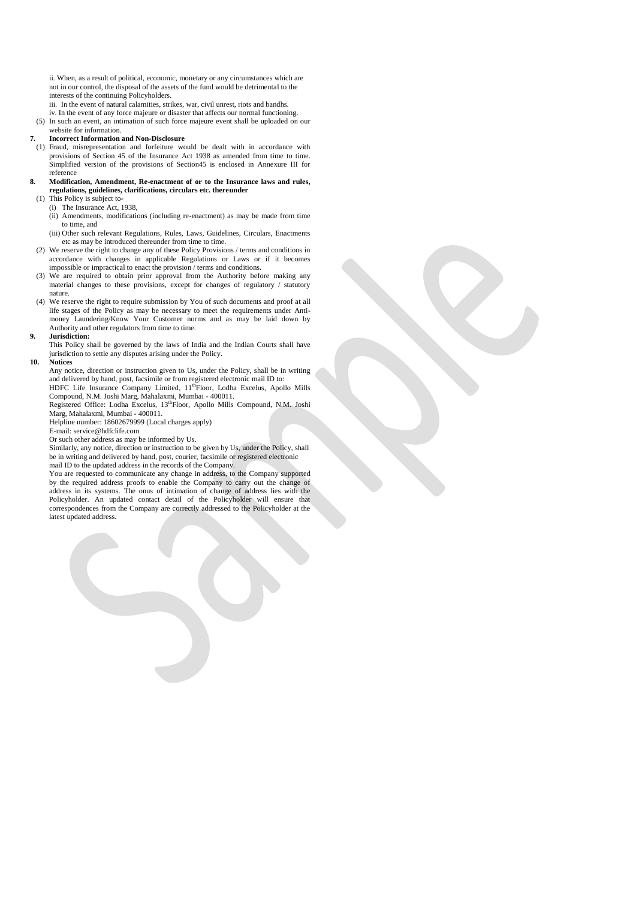ii. When, as a result of political, economic, monetary or any circumstances which are not in our control, the disposal of the assets of the fund would be detrimental to the interests of the continuing Policyholders.

iii. In the event of natural calamities, strikes, war, civil unrest, riots and bandhs

- iv. In the event of any force majeure or disaster that affects our normal functioning.
- (5) In such an event, an intimation of such force majeure event shall be uploaded on our website for information.

### **7. Incorrect Information and Non-Disclosure**

- (1) Fraud, misrepresentation and forfeiture would be dealt with in accordance with provisions of Section 45 of the Insurance Act 1938 as amended from time to time. Simplified version of the provisions of Section45 is enclosed in Annexure III for reference
- **8. Modification, Amendment, Re-enactment of or to the Insurance laws and rules, regulations, guidelines, clarifications, circulars etc. thereunder** 
	- (1) This Policy is subject to-
		- (i) The Insurance Act, 1938,
		- (ii) Amendments, modifications (including re-enactment) as may be made from time to time, and

(iii) Other such relevant Regulations, Rules, Laws, Guidelines, Circulars, Enactments etc as may be introduced thereunder from time to time.

- (2) We reserve the right to change any of these Policy Provisions / terms and conditions in accordance with changes in applicable Regulations or Laws or if it becomes impossible or impractical to enact the provision / terms and conditions.
- (3) We are required to obtain prior approval from the Authority before making any material changes to these provisions, except for changes of regulatory / statutory nature.
- (4) We reserve the right to require submission by You of such documents and proof at all life stages of the Policy as may be necessary to meet the requirements under Antimoney Laundering/Know Your Customer norms and as may be laid down by Authority and other regulators from time to time.

# **9. Jurisdiction:**

This Policy shall be governed by the laws of India and the Indian Courts shall have jurisdiction to settle any disputes arising under the Policy.

#### **10. Notices**

Any notice, direction or instruction given to Us, under the Policy, shall be in writing and delivered by hand, post, facsimile or from registered electronic mail ID to:

HDFC Life Insurance Company Limited, 11<sup>th</sup>Floor, Lodha Excelus, Apollo Mills Compound, N.M. Joshi Marg, Mahalaxmi, Mumbai - 400011. Registered Office: Lodha Excelus, 13<sup>th</sup>Floor, Apollo Mills Compound, N.M. Joshi

Marg, Mahalaxmi, Mumbai - 400011.

Helpline number: 18602679999 (Local charges apply) E-mail: service@hdfclife.com

Or such other address as may be informed by Us.

Similarly, any notice, direction or instruction to be given by Us, under the Policy, shall be in writing and delivered by hand, post, courier, facsimile or registered electronic mail ID to the updated address in the records of the Company.

You are requested to communicate any change in address, to the Company supported by the required address proofs to enable the Company to carry out the change of address in its systems. The onus of intimation of change of address lies with the Policyholder. An updated contact detail of the Policyholder will ensure that correspondences from the Company are correctly addressed to the Policyholder at the latest updated address.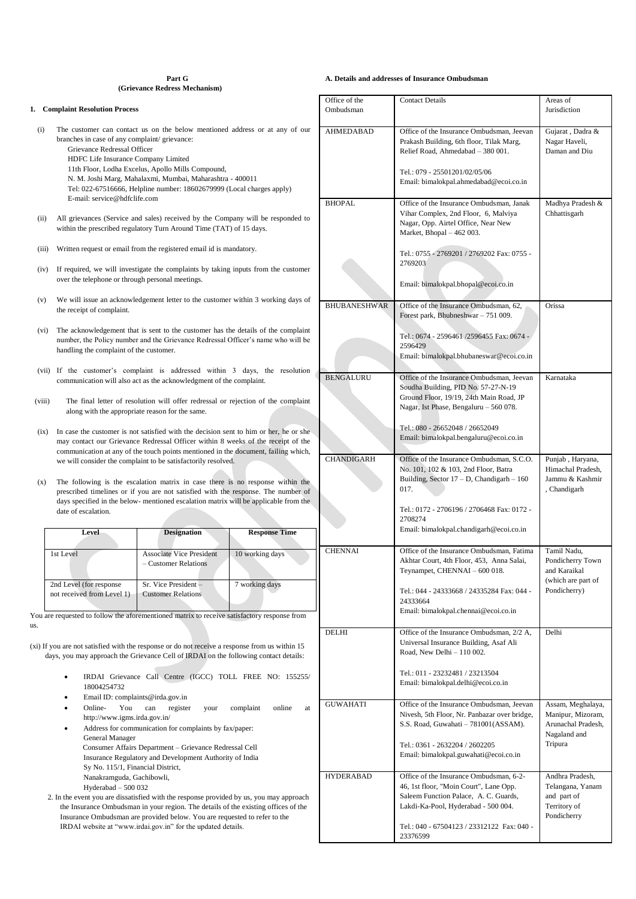#### **Part G (Grievance Redress Mechanism)**

#### **1. Complaint Resolution Process**

(i) The customer can contact us on the below mentioned address or at any of our branches in case of any complaint/ grievance: Grievance Redressal Officer HDFC Life Insurance Company Limited 11th Floor, Lodha Excelus, Apollo Mills Compound,

N. M. Joshi Marg, Mahalaxmi, Mumbai, Maharashtra - 400011

Tel: 022-67516666, Helpline number: 18602679999 (Local charges apply) E-mail[: service@hdfclife.com](mailto:service@hdfclife.com)

(ii) All grievances (Service and sales) received by the Company will be responded to within the prescribed regulatory Turn Around Time (TAT) of 15 days.

(iii) Written request or email from the registered email id is mandatory.

- (iv) If required, we will investigate the complaints by taking inputs from the customer over the telephone or through personal meetings.
- (v) We will issue an acknowledgement letter to the customer within 3 working days of the receipt of complaint.
- $(vi)$  The acknowledgement that is sent to the customer has the details of the complain number, the Policy number and the Grievance Redressal Officer's name who will be handling the complaint of the customer.
- (vii) If the customer's complaint is addressed within 3 days, the resolution communication will also act as the acknowledgment of the complaint.
- (viii) The final letter of resolution will offer redressal or rejection of the complaint along with the appropriate reason for the same.
- (ix) In case the customer is not satisfied with the decision sent to him or her, he or she may contact our Grievance Redressal Officer within 8 weeks of the receipt of the communication at any of the touch points mentioned in the document, failing which, we will consider the complaint to be satisfactorily resolved.
- The following is the escalation matrix in case there is no response within the prescribed timelines or if you are not satisfied with the response. The number of days specified in the below- mentioned escalation matrix will be applicable from the date of escalation.

| Level                                                 | <b>Designation</b>                                        | <b>Response Time</b> |  |  |
|-------------------------------------------------------|-----------------------------------------------------------|----------------------|--|--|
| 1st Level                                             | <b>Associate Vice President</b><br>$-$ Customer Relations | 10 working days      |  |  |
| 2nd Level (for response<br>not received from Level 1) | Sr. Vice President -<br><b>Customer Relations</b>         | 7 working days       |  |  |

us.

(xi) If you are not satisfied with the response or do not receive a response from us within 15 days, you may approach the Grievance Cell of IRDAI on the following contact details:

- IRDAI Grievance Call Centre (IGCC) TOLL FREE NO: 155255/ 18004254732
- Email ID: complaints@irda.gov.in
- Online- You can register your complaint online at http://www.igms.irda.gov.in/
- Address for communication for complaints by fax/paper: General Manager Consumer Affairs Department – Grievance Redressal Cell Insurance Regulatory and Development Authority of India Sy No. 115/1, Financial District, Nanakramguda, Gachibowli, Hyderabad – 500 032
- 2. In the event you are dissatisfied with the response provided by us, you may approach the Insurance Ombudsman in your region. The details of the existing offices of the Insurance Ombudsman are provided below. You are requested to refer to the IRDAI website at "www.irdai.gov.in" for the updated details.

### **A. Details and addresses of Insurance Ombudsman**

|   | Office of the<br><b>Contact Details</b> |                                                                                                                                                                                                                             | Areas of                                                                                |  |
|---|-----------------------------------------|-----------------------------------------------------------------------------------------------------------------------------------------------------------------------------------------------------------------------------|-----------------------------------------------------------------------------------------|--|
|   | Ombudsman                               |                                                                                                                                                                                                                             | Jurisdiction                                                                            |  |
| ŗ | AHMEDABAD                               | Office of the Insurance Ombudsman, Jeevan<br>Prakash Building, 6th floor, Tilak Marg,<br>Relief Road, Ahmedabad - 380 001.                                                                                                  | Gujarat, Dadra &<br>Nagar Haveli,<br>Daman and Diu                                      |  |
|   |                                         | Tel.: 079 - 25501201/02/05/06<br>Email: bimalokpal.ahmedabad@ecoi.co.in                                                                                                                                                     |                                                                                         |  |
|   | <b>BHOPAL</b>                           | Office of the Insurance Ombudsman, Janak<br>Vihar Complex, 2nd Floor, 6, Malviya<br>Nagar, Opp. Airtel Office, Near New<br>Market, Bhopal - 462 003.                                                                        | Madhya Pradesh &<br>Chhattisgarh                                                        |  |
|   |                                         | Tel.: 0755 - 2769201 / 2769202 Fax: 0755 -<br>2769203                                                                                                                                                                       |                                                                                         |  |
|   |                                         | Email: bimalokpal.bhopal@ecoi.co.in                                                                                                                                                                                         |                                                                                         |  |
|   | <b>BHUBANESHWAR</b>                     | Office of the Insurance Ombudsman, 62,<br>Forest park, Bhubneshwar - 751 009.                                                                                                                                               | Orissa                                                                                  |  |
|   |                                         | Tel.: 0674 - 2596461/2596455 Fax: 0674 -<br>2596429<br>Email: bimalokpal.bhubaneswar@ecoi.co.in                                                                                                                             |                                                                                         |  |
|   | <b>BENGALURU</b>                        | Office of the Insurance Ombudsman, Jeevan<br>Soudha Building, PID No. 57-27-N-19<br>Ground Floor, 19/19, 24th Main Road, JP<br>Nagar, Ist Phase, Bengaluru - 560 078.                                                       | Karnataka                                                                               |  |
|   |                                         | Tel.: 080 - 26652048 / 26652049<br>Email: bimalokpal.bengaluru@ecoi.co.in                                                                                                                                                   |                                                                                         |  |
|   | CHANDIGARH                              | Office of the Insurance Ombudsman, S.C.O.<br>No. 101, 102 & 103, 2nd Floor, Batra<br>Building, Sector $17 - D$ , Chandigarh $- 160$<br>017.                                                                                 | Punjab, Haryana,<br>Himachal Pradesh,<br>Jammu & Kashmir<br>, Chandigarh                |  |
|   |                                         | Tel.: 0172 - 2706196 / 2706468 Fax: 0172 -<br>2708274<br>Email: bimalokpal.chandigarh@ecoi.co.in                                                                                                                            |                                                                                         |  |
|   | <b>CHENNAI</b>                          | Office of the Insurance Ombudsman, Fatima<br>Akhtar Court, 4th Floor, 453, Anna Salai,<br>Teynampet, CHENNAI - 600 018.<br>Tel.: 044 - 24333668 / 24335284 Fax: 044 -<br>24333664<br>Email: bimalokpal.chennai@ecoi.co.in   | Tamil Nadu,<br>Pondicherry Town<br>and Karaikal<br>(which are part of<br>Pondicherry)   |  |
|   | DELHI                                   | Office of the Insurance Ombudsman, 2/2 A,<br>Universal Insurance Building, Asaf Ali<br>Road, New Delhi - 110 002.                                                                                                           | Delhi                                                                                   |  |
|   |                                         | Tel.: 011 - 23232481 / 23213504<br>Email: bimalokpal.delhi@ecoi.co.in                                                                                                                                                       |                                                                                         |  |
|   | <b>GUWAHATI</b>                         | Office of the Insurance Ombudsman, Jeevan<br>Nivesh, 5th Floor, Nr. Panbazar over bridge,<br>S.S. Road, Guwahati - 781001(ASSAM).<br>Tel.: 0361 - 2632204 / 2602205<br>Email: bimalokpal.guwahati@ecoi.co.in                | Assam, Meghalaya,<br>Manipur, Mizoram,<br>Arunachal Pradesh,<br>Nagaland and<br>Tripura |  |
|   | <b>HYDERABAD</b>                        | Office of the Insurance Ombudsman, 6-2-<br>46, 1st floor, "Moin Court", Lane Opp.<br>Saleem Function Palace, A. C. Guards,<br>Lakdi-Ka-Pool, Hyderabad - 500 004.<br>Tel.: 040 - 67504123 / 23312122 Fax: 040 -<br>23376599 | Andhra Pradesh,<br>Telangana, Yanam<br>and part of<br>Territory of<br>Pondicherry       |  |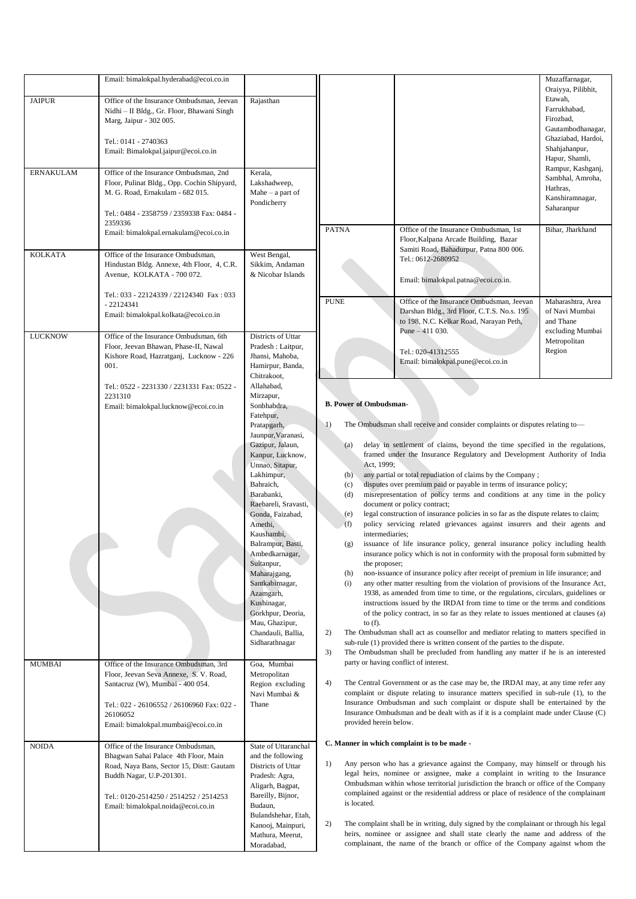|                                   | Email: bimalokpal.hyderabad@ecoi.co.in                                                                                                                                                                                                                                                                                                                       |                                                                                                                                                                                                                                                                                                                                                                                                                                                                                                    |                                                                                                                                                                                                                                                                                                                                                                                                                                                                                                                                                                                                                                                                                                                                                                                                                                                                                                                                                                                                                                                                                                                                                                                                                                                                                                                                                                                                                                                                                                                                                                                                                                                                                                                                                                                                                                                                                                                                                                                                                                                                                                                                                                                                                                                                                                                                                                                                                                                                                                                                                                                                                                                                                                                                                                                                                                                         |                                                                                                                                                                                                                   | Muzaffarnagar,                                                                                                                                                                                                                 |
|-----------------------------------|--------------------------------------------------------------------------------------------------------------------------------------------------------------------------------------------------------------------------------------------------------------------------------------------------------------------------------------------------------------|----------------------------------------------------------------------------------------------------------------------------------------------------------------------------------------------------------------------------------------------------------------------------------------------------------------------------------------------------------------------------------------------------------------------------------------------------------------------------------------------------|---------------------------------------------------------------------------------------------------------------------------------------------------------------------------------------------------------------------------------------------------------------------------------------------------------------------------------------------------------------------------------------------------------------------------------------------------------------------------------------------------------------------------------------------------------------------------------------------------------------------------------------------------------------------------------------------------------------------------------------------------------------------------------------------------------------------------------------------------------------------------------------------------------------------------------------------------------------------------------------------------------------------------------------------------------------------------------------------------------------------------------------------------------------------------------------------------------------------------------------------------------------------------------------------------------------------------------------------------------------------------------------------------------------------------------------------------------------------------------------------------------------------------------------------------------------------------------------------------------------------------------------------------------------------------------------------------------------------------------------------------------------------------------------------------------------------------------------------------------------------------------------------------------------------------------------------------------------------------------------------------------------------------------------------------------------------------------------------------------------------------------------------------------------------------------------------------------------------------------------------------------------------------------------------------------------------------------------------------------------------------------------------------------------------------------------------------------------------------------------------------------------------------------------------------------------------------------------------------------------------------------------------------------------------------------------------------------------------------------------------------------------------------------------------------------------------------------------------------------|-------------------------------------------------------------------------------------------------------------------------------------------------------------------------------------------------------------------|--------------------------------------------------------------------------------------------------------------------------------------------------------------------------------------------------------------------------------|
| <b>JAIPUR</b><br><b>ERNAKULAM</b> | Office of the Insurance Ombudsman, Jeevan<br>Nidhi - II Bldg., Gr. Floor, Bhawani Singh<br>Marg, Jaipur - 302 005.<br>Tel.: 0141 - 2740363<br>Email: Bimalokpal.jaipur@ecoi.co.in<br>Office of the Insurance Ombudsman, 2nd<br>Floor, Pulinat Bldg., Opp. Cochin Shipyard,<br>M. G. Road, Ernakulam - 682 015.<br>Tel.: 0484 - 2358759 / 2359338 Fax: 0484 - | Rajasthan<br>Kerala,<br>Lakshadweep,<br>Mahe $-$ a part of<br>Pondicherry                                                                                                                                                                                                                                                                                                                                                                                                                          |                                                                                                                                                                                                                                                                                                                                                                                                                                                                                                                                                                                                                                                                                                                                                                                                                                                                                                                                                                                                                                                                                                                                                                                                                                                                                                                                                                                                                                                                                                                                                                                                                                                                                                                                                                                                                                                                                                                                                                                                                                                                                                                                                                                                                                                                                                                                                                                                                                                                                                                                                                                                                                                                                                                                                                                                                                                         |                                                                                                                                                                                                                   | Oraiyya, Pilibhit,<br>Etawah,<br>Farrukhabad,<br>Firozbad,<br>Gautambodhanagar,<br>Ghaziabad, Hardoi,<br>Shahjahanpur,<br>Hapur, Shamli,<br>Rampur, Kashganj,<br>Sambhal, Amroha,<br>Hathras,<br>Kanshiramnagar,<br>Saharanpur |
|                                   | 2359336<br>Email: bimalokpal.ernakulam@ecoi.co.in                                                                                                                                                                                                                                                                                                            |                                                                                                                                                                                                                                                                                                                                                                                                                                                                                                    | <b>PATNA</b>                                                                                                                                                                                                                                                                                                                                                                                                                                                                                                                                                                                                                                                                                                                                                                                                                                                                                                                                                                                                                                                                                                                                                                                                                                                                                                                                                                                                                                                                                                                                                                                                                                                                                                                                                                                                                                                                                                                                                                                                                                                                                                                                                                                                                                                                                                                                                                                                                                                                                                                                                                                                                                                                                                                                                                                                                                            | Office of the Insurance Ombudsman, 1st<br>Floor, Kalpana Arcade Building, Bazar<br>Samiti Road, Bahadurpur, Patna 800 006.                                                                                        | Bihar, Jharkhand                                                                                                                                                                                                               |
| <b>KOLKATA</b>                    | Office of the Insurance Ombudsman,<br>Hindustan Bldg. Annexe, 4th Floor, 4, C.R.<br>Avenue, KOLKATA - 700 072.<br>Tel.: 033 - 22124339 / 22124340 Fax: 033                                                                                                                                                                                                   | West Bengal,<br>Sikkim, Andaman<br>& Nicobar Islands                                                                                                                                                                                                                                                                                                                                                                                                                                               |                                                                                                                                                                                                                                                                                                                                                                                                                                                                                                                                                                                                                                                                                                                                                                                                                                                                                                                                                                                                                                                                                                                                                                                                                                                                                                                                                                                                                                                                                                                                                                                                                                                                                                                                                                                                                                                                                                                                                                                                                                                                                                                                                                                                                                                                                                                                                                                                                                                                                                                                                                                                                                                                                                                                                                                                                                                         | Tel.: 0612-2680952<br>Email: bimalokpal.patna@ecoi.co.in.                                                                                                                                                         |                                                                                                                                                                                                                                |
| <b>LUCKNOW</b>                    | $-22124341$<br>Email: bimalokpal.kolkata@ecoi.co.in<br>Office of the Insurance Ombudsman, 6th<br>Floor, Jeevan Bhawan, Phase-II, Nawal<br>Kishore Road, Hazratganj, Lucknow - 226<br>001.                                                                                                                                                                    | Districts of Uttar<br>Pradesh : Laitpur,<br>Jhansi, Mahoba,<br>Hamirpur, Banda,                                                                                                                                                                                                                                                                                                                                                                                                                    | <b>PUNE</b>                                                                                                                                                                                                                                                                                                                                                                                                                                                                                                                                                                                                                                                                                                                                                                                                                                                                                                                                                                                                                                                                                                                                                                                                                                                                                                                                                                                                                                                                                                                                                                                                                                                                                                                                                                                                                                                                                                                                                                                                                                                                                                                                                                                                                                                                                                                                                                                                                                                                                                                                                                                                                                                                                                                                                                                                                                             | Office of the Insurance Ombudsman, Jeevan<br>Darshan Bldg., 3rd Floor, C.T.S. No.s. 195<br>to 198, N.C. Kelkar Road, Narayan Peth,<br>Pune $-411$ 030.<br>Tel.: 020-41312555<br>Email: bimalokpal.pune@ecoi.co.in | Maharashtra, Area<br>of Navi Mumbai<br>and Thane<br>excluding Mumbai<br>Metropolitan<br>Region                                                                                                                                 |
| <b>MUMBAI</b>                     | Tel.: 0522 - 2231330 / 2231331 Fax: 0522 -<br>2231310<br>Email: bimalokpal.lucknow@ecoi.co.in<br>Office of the Insurance Ombudsman, 3rd                                                                                                                                                                                                                      | Chitrakoot,<br>Allahabad,<br>Mirzapur,<br>Sonbhabdra,<br>Fatehpur,<br>Pratapgarh,<br>Jaunpur, Varanasi,<br>Gazipur, Jalaun,<br>Kanpur, Lucknow,<br>Unnao, Sitapur,<br>Lakhimpur,<br>Bahraich,<br>Barabanki,<br>Raebareli, Sravasti,<br>Gonda, Faizabad,<br>Amethi,<br>Kaushambi,<br>Balrampur, Basti,<br>Ambedkarnagar,<br>Sultanpur,<br>Maharajgang,<br>Santkabirnagar,<br>Azamgarh,<br>Kushinagar,<br>Gorkhpur, Deoria,<br>Mau, Ghazipur,<br>Chandauli, Ballia,<br>Sidharathnagar<br>Goa, Mumbai | <b>B. Power of Ombudsman-</b><br>The Ombudsman shall receive and consider complaints or disputes relating to-<br>$_{1)}$<br>delay in settlement of claims, beyond the time specified in the regulations,<br>(a)<br>framed under the Insurance Regulatory and Development Authority of India<br>Act, 1999;<br>any partial or total repudiation of claims by the Company;<br>(b)<br>disputes over premium paid or payable in terms of insurance policy;<br>(c)<br>misrepresentation of policy terms and conditions at any time in the policy<br>(d)<br>document or policy contract;<br>legal construction of insurance policies in so far as the dispute relates to claim;<br>(e)<br>policy servicing related grievances against insurers and their agents and<br>(f)<br>intermediaries;<br>issuance of life insurance policy, general insurance policy including health<br>(g)<br>insurance policy which is not in conformity with the proposal form submitted by<br>the proposer;<br>non-issuance of insurance policy after receipt of premium in life insurance; and<br>(h)<br>(i)<br>any other matter resulting from the violation of provisions of the Insurance Act,<br>1938, as amended from time to time, or the regulations, circulars, guidelines or<br>instructions issued by the IRDAI from time to time or the terms and conditions<br>of the policy contract, in so far as they relate to issues mentioned at clauses (a)<br>to $(f)$ .<br>2)<br>The Ombudsman shall act as counsellor and mediator relating to matters specified in<br>sub-rule (1) provided there is written consent of the parties to the dispute.<br>3)<br>The Ombudsman shall be precluded from handling any matter if he is an interested<br>party or having conflict of interest.<br>4)<br>The Central Government or as the case may be, the IRDAI may, at any time refer any<br>complaint or dispute relating to insurance matters specified in sub-rule (1), to the<br>Insurance Ombudsman and such complaint or dispute shall be entertained by the<br>Insurance Ombudsman and be dealt with as if it is a complaint made under Clause (C)<br>provided herein below.<br>C. Manner in which complaint is to be made -<br>Any person who has a grievance against the Company, may himself or through his<br>1)<br>legal heirs, nominee or assignee, make a complaint in writing to the Insurance<br>Ombudsman within whose territorial jurisdiction the branch or office of the Company<br>complained against or the residential address or place of residence of the complainant<br>is located.<br>The complaint shall be in writing, duly signed by the complainant or through his legal<br>2)<br>heirs, nominee or assignee and shall state clearly the name and address of the<br>complainant, the name of the branch or office of the Company against whom the |                                                                                                                                                                                                                   |                                                                                                                                                                                                                                |
|                                   | Floor, Jeevan Seva Annexe, S. V. Road,<br>Santacruz (W), Mumbai - 400 054.<br>Tel.: 022 - 26106552 / 26106960 Fax: 022 -<br>26106052<br>Email: bimalokpal.mumbai@ecoi.co.in                                                                                                                                                                                  | Metropolitan<br>Region excluding<br>Navi Mumbai &<br>Thane                                                                                                                                                                                                                                                                                                                                                                                                                                         |                                                                                                                                                                                                                                                                                                                                                                                                                                                                                                                                                                                                                                                                                                                                                                                                                                                                                                                                                                                                                                                                                                                                                                                                                                                                                                                                                                                                                                                                                                                                                                                                                                                                                                                                                                                                                                                                                                                                                                                                                                                                                                                                                                                                                                                                                                                                                                                                                                                                                                                                                                                                                                                                                                                                                                                                                                                         |                                                                                                                                                                                                                   |                                                                                                                                                                                                                                |
| <b>NOIDA</b>                      | Office of the Insurance Ombudsman,<br>Bhagwan Sahai Palace 4th Floor, Main<br>Road, Naya Bans, Sector 15, Distt: Gautam<br>Buddh Nagar, U.P-201301.<br>Tel.: 0120-2514250 / 2514252 / 2514253<br>Email: bimalokpal.noida@ecoi.co.in                                                                                                                          | State of Uttaranchal<br>and the following<br>Districts of Uttar<br>Pradesh: Agra,<br>Aligarh, Bagpat,<br>Bareilly, Bijnor,<br>Budaun,<br>Bulandshehar, Etah,<br>Kanooj, Mainpuri,<br>Mathura, Meerut,<br>Moradabad,                                                                                                                                                                                                                                                                                |                                                                                                                                                                                                                                                                                                                                                                                                                                                                                                                                                                                                                                                                                                                                                                                                                                                                                                                                                                                                                                                                                                                                                                                                                                                                                                                                                                                                                                                                                                                                                                                                                                                                                                                                                                                                                                                                                                                                                                                                                                                                                                                                                                                                                                                                                                                                                                                                                                                                                                                                                                                                                                                                                                                                                                                                                                                         |                                                                                                                                                                                                                   |                                                                                                                                                                                                                                |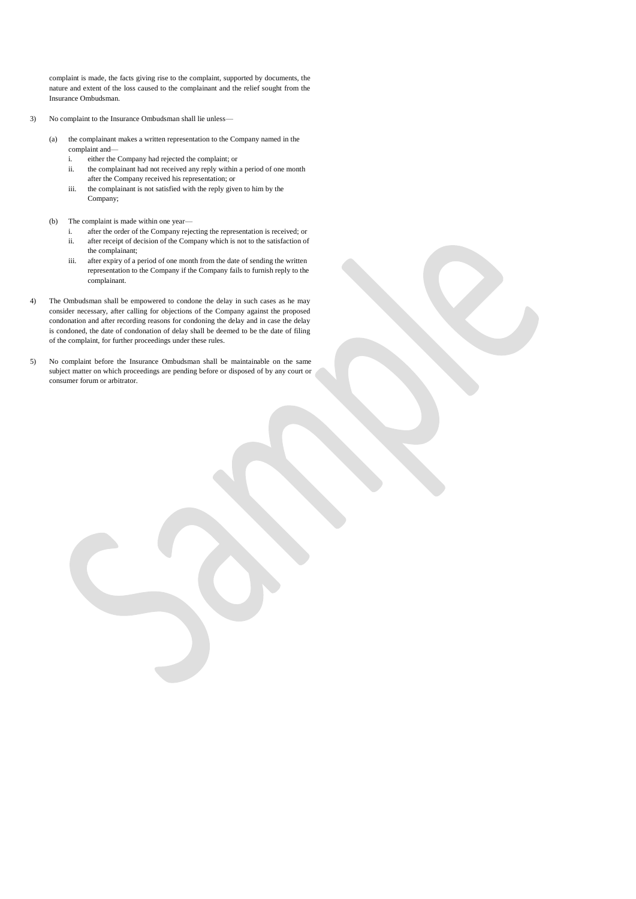complaint is made, the facts giving rise to the complaint, supported by documents, the nature and extent of the loss caused to the complainant and the relief sought from the Insurance Ombudsman.

- 3) No complaint to the Insurance Ombudsman shall lie unless—
	- (a) the complainant makes a written representation to the Company named in the complaint and
		- i. either the Company had rejected the complaint; or
		- ii. the complainant had not received any reply within a period of one month after the Company received his representation; or
		- iii. the complainant is not satisfied with the reply given to him by the Company;
	- (b) The complaint is made within one year
		- i. after the order of the Company rejecting the representation is received; or ii. after receipt of decision of the Company which is not to the satisfaction of the complainant;
		- iii. after expiry of a period of one month from the date of sending the written representation to the Company if the Company fails to furnish reply to the complainant.
- 4) The Ombudsman shall be empowered to condone the delay in such cases as he may consider necessary, after calling for objections of the Company against the proposed condonation and after recording reasons for condoning the delay and in case the delay is condoned, the date of condonation of delay shall be deemed to be the date of filing of the complaint, for further proceedings under these rules.
- 5) No complaint before the Insurance Ombudsman shall be maintainable on the same subject matter on which proceedings are pending before or disposed of by any court or consumer forum or arbitrator.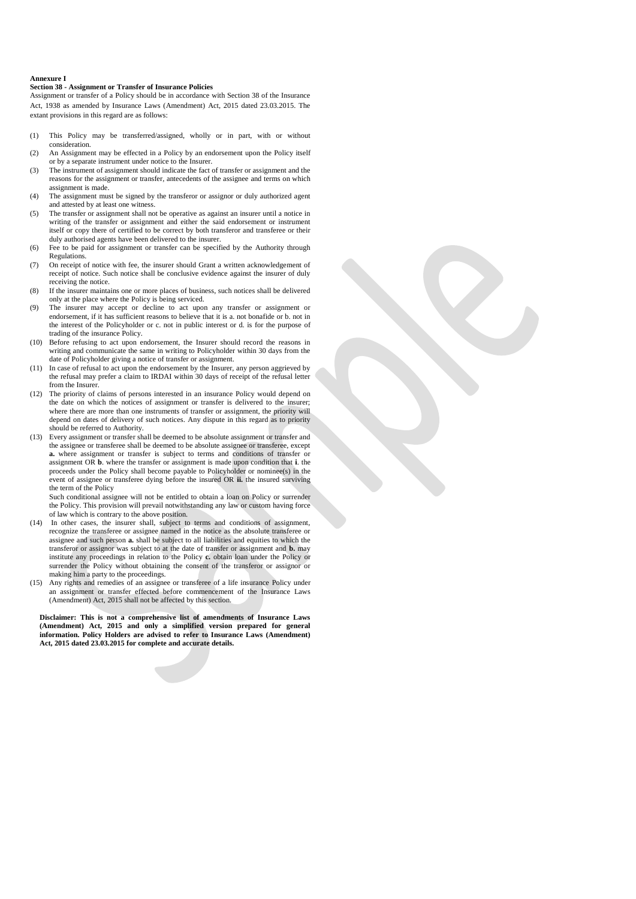#### **Annexure I**

### **Section 38 - Assignment or Transfer of Insurance Policies**

Assignment or transfer of a Policy should be in accordance with Section 38 of the Insurance Act, 1938 as amended by Insurance Laws (Amendment) Act, 2015 dated 23.03.2015. The extant provisions in this regard are as follows:

- (1) This Policy may be transferred/assigned, wholly or in part, with or without consideration.
- (2) An Assignment may be effected in a Policy by an endorsement upon the Policy itself or by a separate instrument under notice to the Insurer.
- (3) The instrument of assignment should indicate the fact of transfer or assignment and the reasons for the assignment or transfer, antecedents of the assignee and terms on which assignment is made.
- (4) The assignment must be signed by the transferor or assignor or duly authorized agent and attested by at least one witness.
- (5) The transfer or assignment shall not be operative as against an insurer until a notice in writing of the transfer or assignment and either the said endorsement or instrument itself or copy there of certified to be correct by both transferor and transferee or their duly authorised agents have been delivered to the insurer.
- (6) Fee to be paid for assignment or transfer can be specified by the Authority through Regulations.
- (7) On receipt of notice with fee, the insurer should Grant a written acknowledgement of receipt of notice. Such notice shall be conclusive evidence against the insurer of duly receiving the notice.
- (8) If the insurer maintains one or more places of business, such notices shall be delivered only at the place where the Policy is being serviced.
- (9) The insurer may accept or decline to act upon any transfer or assignment or endorsement, if it has sufficient reasons to believe that it is a. not bonafide or b. not in the interest of the Policyholder or c. not in public interest or d. is for the purpose of trading of the insurance Policy.
- (10) Before refusing to act upon endorsement, the Insurer should record the reasons in writing and communicate the same in writing to Policyholder within 30 days from the date of Policyholder giving a notice of transfer or assignment.
- (11) In case of refusal to act upon the endorsement by the Insurer, any person aggrieved by the refusal may prefer a claim to IRDAI within 30 days of receipt of the refusal letter from the Insurer.
- (12) The priority of claims of persons interested in an insurance Policy would depend on the date on which the notices of assignment or transfer is delivered to the insurer; where there are more than one instruments of transfer or assignment, the priority will depend on dates of delivery of such notices. Any dispute in this regard as to priority should be referred to Authority.
- (13) Every assignment or transfer shall be deemed to be absolute assignment or transfer and the assignee or transferee shall be deemed to be absolute assignee or transferee, except **a.** where assignment or transfer is subject to terms and conditions of transfer or assignment OR **b**. where the transfer or assignment is made upon condition that **i**. the proceeds under the Policy shall become payable to Policyholder or nominee(s) in the event of assignee or transferee dying before the insured OR **ii.** the insured surviving the term of the Policy

Such conditional assignee will not be entitled to obtain a loan on Policy or surrender the Policy. This provision will prevail notwithstanding any law or custom having force of law which is contrary to the above position.

- (14) In other cases, the insurer shall, subject to terms and conditions of assignment, recognize the transferee or assignee named in the notice as the absolute transferee or assignee and such person **a.** shall be subject to all liabilities and equities to which the transferor or assignor was subject to at the date of transfer or assignment and **b.** may institute any proceedings in relation to the Policy **c.** obtain loan under the Policy or surrender the Policy without obtaining the consent of the transferor or assignor or making him a party to the proceedings.
- (15) Any rights and remedies of an assignee or transferee of a life insurance Policy under an assignment or transfer effected before commencement of the Insurance Laws (Amendment) Act, 2015 shall not be affected by this section.

**Disclaimer: This is not a comprehensive list of amendments of Insurance Laws (Amendment) Act, 2015 and only a simplified version prepared for general information. Policy Holders are advised to refer to Insurance Laws (Amendment) Act, 2015 dated 23.03.2015 for complete and accurate details.**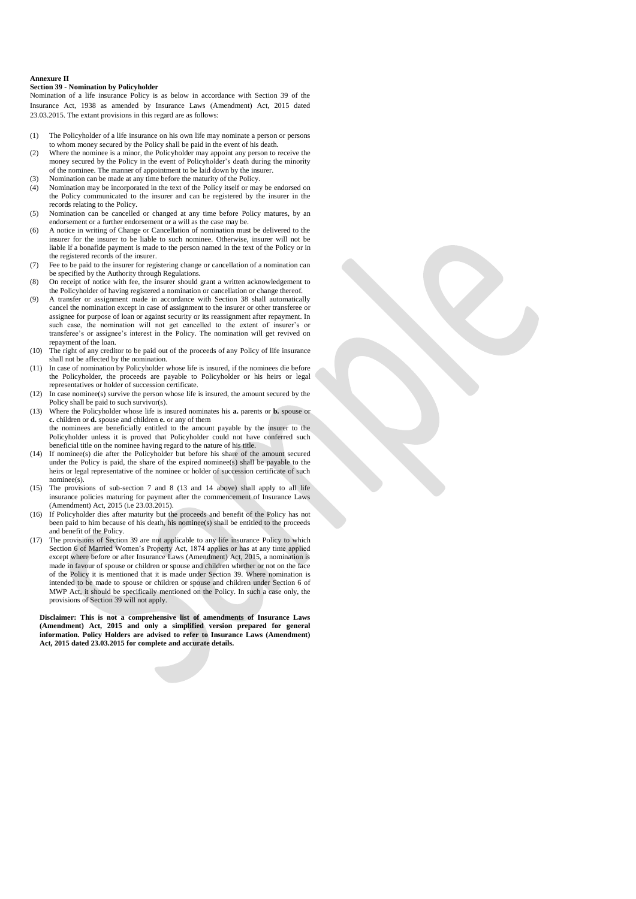#### **Annexure II**

### **Section 39 - Nomination by Policyholder**

Nomination of a life insurance Policy is as below in accordance with Section 39 of the Insurance Act, 1938 as amended by Insurance Laws (Amendment) Act, 2015 dated 23.03.2015. The extant provisions in this regard are as follows:

- (1) The Policyholder of a life insurance on his own life may nominate a person or persons to whom money secured by the Policy shall be paid in the event of his death.
- (2) Where the nominee is a minor, the Policyholder may appoint any person to receive the money secured by the Policy in the event of Policyholder's death during the minority of the nominee. The manner of appointment to be laid down by the insurer. (3) Nomination can be made at any time before the maturity of the Policy.
- (4) Nomination may be incorporated in the text of the Policy itself or may be endorsed on the Policy communicated to the insurer and can be registered by the insurer in the records relating to the Policy.
- (5) Nomination can be cancelled or changed at any time before Policy matures, by an endorsement or a further endorsement or a will as the case may be.
- (6) A notice in writing of Change or Cancellation of nomination must be delivered to the insurer for the insurer to be liable to such nominee. Otherwise, insurer will not be liable if a bonafide payment is made to the person named in the text of the Policy or in the registered records of the insurer.
- (7) Fee to be paid to the insurer for registering change or cancellation of a nomination can be specified by the Authority through Regulations.
- (8) On receipt of notice with fee, the insurer should grant a written acknowledgement to the Policyholder of having registered a nomination or cancellation or change thereof.
- (9) A transfer or assignment made in accordance with Section 38 shall automatically cancel the nomination except in case of assignment to the insurer or other transferee or assignee for purpose of loan or against security or its reassignment after repayment. In such case, the nomination will not get cancelled to the extent of insurer's or transferee's or assignee's interest in the Policy. The nomination will get revived on repayment of the loan.
- (10) The right of any creditor to be paid out of the proceeds of any Policy of life insurance shall not be affected by the nomination.
- (11) In case of nomination by Policyholder whose life is insured, if the nominees die before the Policyholder, the proceeds are payable to Policyholder or his heirs or legal representatives or holder of succession certificate.
- (12) In case nominee(s) survive the person whose life is insured, the amount secured by the Policy shall be paid to such survivor(s).
- (13) Where the Policyholder whose life is insured nominates his **a.** parents or **b.** spouse or **c.** children or **d.** spouse and children **e.** or any of them the nominees are beneficially entitled to the amount payable by the insurer to the Policyholder unless it is proved that Policyholder could not have conferred such
- beneficial title on the nominee having regard to the nature of his title. (14) If nominee(s) die after the Policyholder but before his share of the amount secured under the Policy is paid, the share of the expired nominee(s) shall be payable to the heirs or legal representative of the nominee or holder of succession certificate of such nominee(s).
- (15) The provisions of sub-section 7 and 8 (13 and 14 above) shall apply to all life insurance policies maturing for payment after the commencement of Insurance Laws (Amendment) Act, 2015 (i.e 23.03.2015).
- (16) If Policyholder dies after maturity but the proceeds and benefit of the Policy has not been paid to him because of his death, his nominee(s) shall be entitled to the proceeds and benefit of the Policy.
- (17) The provisions of Section 39 are not applicable to any life insurance Policy to which Section 6 of Married Women's Property Act, 1874 applies or has at any time applied except where before or after Insurance Laws (Amendment) Act, 2015, a nomination is made in favour of spouse or children or spouse and children whether or not on the face of the Policy it is mentioned that it is made under Section 39. Where nomination is intended to be made to spouse or children or spouse and children under Section 6 of MWP Act, it should be specifically mentioned on the Policy. In such a case only, the provisions of Section 39 will not apply.

**Disclaimer: This is not a comprehensive list of amendments of Insurance Laws (Amendment) Act, 2015 and only a simplified version prepared for general information. Policy Holders are advised to refer to Insurance Laws (Amendment) Act, 2015 dated 23.03.2015 for complete and accurate details.**